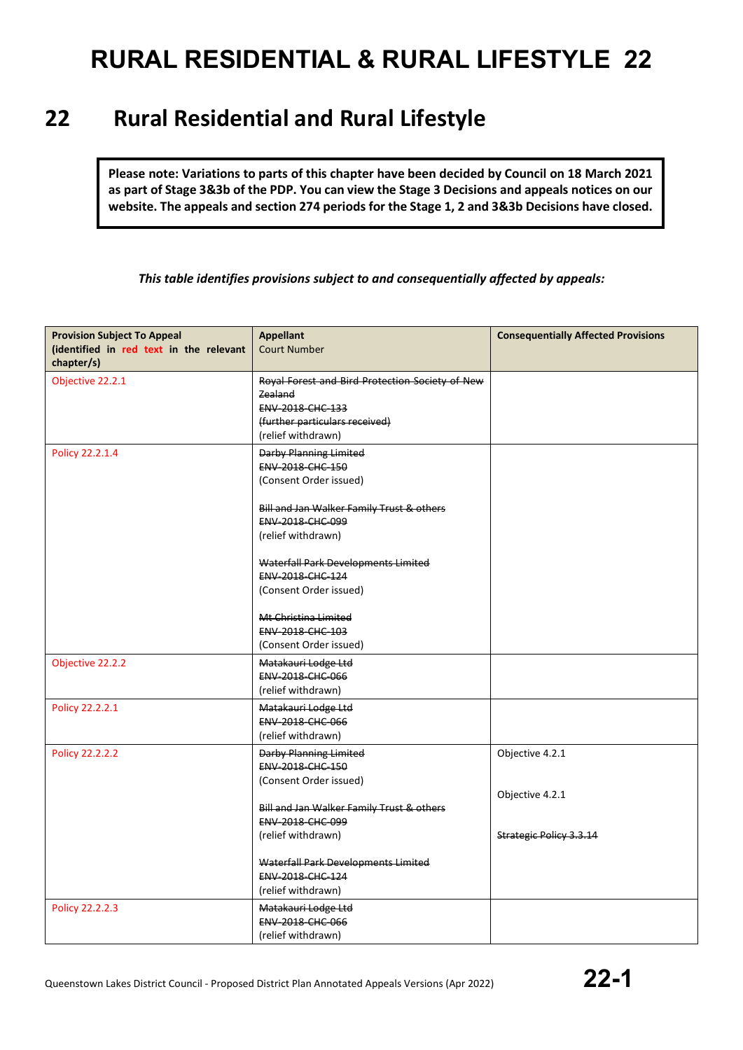### **22 Rural Residential and Rural Lifestyle**

**Please note: Variations to parts of this chapter have been decided by Council on 18 March 2021 as part of Stage 3&3b of the PDP. You can view the Stage 3 Decisions and appeals notices on our website. The appeals and section 274 periods for the Stage 1, 2 and 3&3b Decisions have closed.**

### *This table identifies provisions subject to and consequentially affected by appeals:*

| <b>Provision Subject To Appeal</b><br>(identified in red text in the relevant<br>chapter/s) | <b>Appellant</b><br><b>Court Number</b>                                                                                                             | <b>Consequentially Affected Provisions</b> |
|---------------------------------------------------------------------------------------------|-----------------------------------------------------------------------------------------------------------------------------------------------------|--------------------------------------------|
| Objective 22.2.1                                                                            | Royal Forest and Bird Protection Society of New<br>Zealand<br>ENV-2018-CHC-133<br>(further particulars received)<br>(relief withdrawn)              |                                            |
| Policy 22.2.1.4                                                                             | <b>Darby Planning Limited</b><br><b>ENV 2018 CHC 150</b><br>(Consent Order issued)<br>Bill and Jan Walker Family Trust & others<br>ENV-2018-CHC-099 |                                            |
|                                                                                             | (relief withdrawn)<br>Waterfall Park Developments Limited<br>ENV-2018-CHC-124<br>(Consent Order issued)<br>Mt Christina Limited                     |                                            |
|                                                                                             | ENV-2018-CHC-103<br>(Consent Order issued)                                                                                                          |                                            |
| Objective 22.2.2                                                                            | Matakauri Lodge Ltd<br>ENV-2018-CHC-066<br>(relief withdrawn)                                                                                       |                                            |
| Policy 22.2.2.1                                                                             | Matakauri Lodge Ltd<br><b>ENV 2018 CHC 066</b><br>(relief withdrawn)                                                                                |                                            |
| Policy 22.2.2.2                                                                             | <b>Darby Planning Limited</b><br>ENV-2018-CHC-150<br>(Consent Order issued)<br>Bill and Jan Walker Family Trust & others                            | Objective 4.2.1<br>Objective 4.2.1         |
|                                                                                             | ENV-2018-CHC-099<br>(relief withdrawn)                                                                                                              | <b>Strategic Policy 3.3.14</b>             |
|                                                                                             | Waterfall Park Developments Limited<br>ENV-2018-CHC-124<br>(relief withdrawn)                                                                       |                                            |
| Policy 22.2.2.3                                                                             | Matakauri Lodge Ltd<br><b>ENV 2018 CHC 066</b><br>(relief withdrawn)                                                                                |                                            |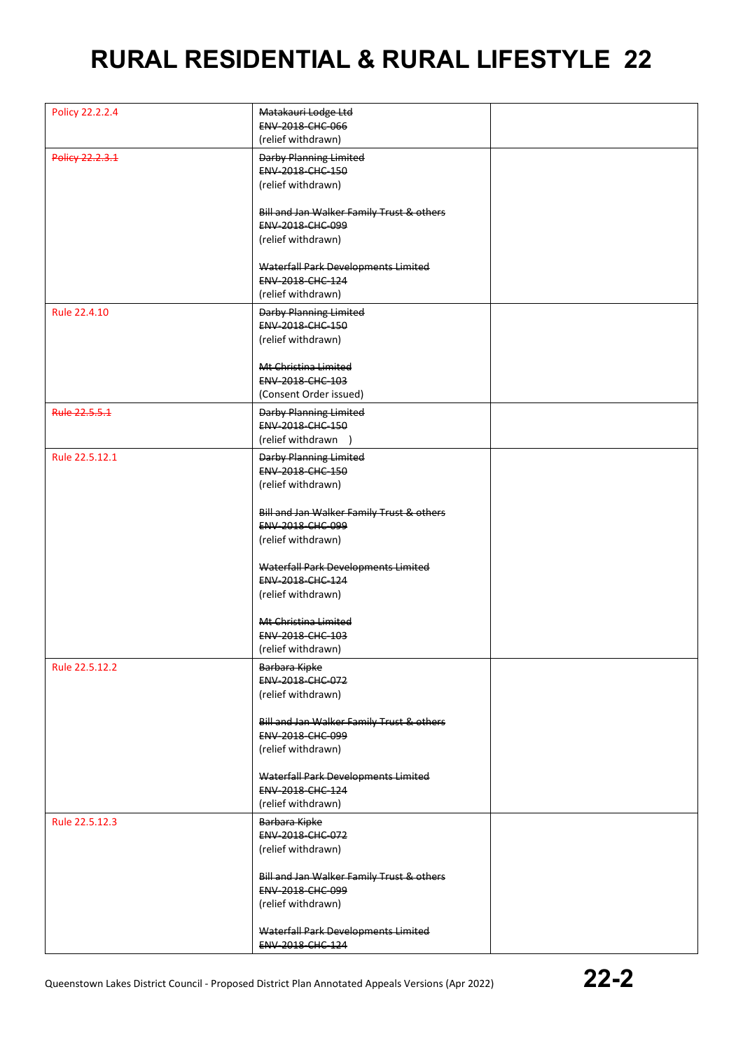| Policy 22.2.2.4 | Matakauri Lodge Ltd                                           |  |
|-----------------|---------------------------------------------------------------|--|
|                 | ENV-2018-CHC-066                                              |  |
|                 | (relief withdrawn)                                            |  |
| Policy 22.2.3.1 | <b>Darby Planning Limited</b>                                 |  |
|                 | ENV-2018-CHC-150                                              |  |
|                 |                                                               |  |
|                 | (relief withdrawn)                                            |  |
|                 |                                                               |  |
|                 | Bill and Jan Walker Family Trust & others<br>ENV-2018-CHC-099 |  |
|                 |                                                               |  |
|                 | (relief withdrawn)                                            |  |
|                 |                                                               |  |
|                 | Waterfall Park Developments Limited                           |  |
|                 | ENV-2018-CHC-124                                              |  |
|                 | (relief withdrawn)                                            |  |
| Rule 22.4.10    | <b>Darby Planning Limited</b>                                 |  |
|                 | ENV-2018-CHC-150                                              |  |
|                 | (relief withdrawn)                                            |  |
|                 |                                                               |  |
|                 | Mt Christina Limited                                          |  |
|                 | ENV-2018-CHC-103                                              |  |
|                 | (Consent Order issued)                                        |  |
| Rule 22.5.5.1   | <b>Darby Planning Limited</b>                                 |  |
|                 | ENV-2018-CHC-150                                              |  |
|                 | (relief withdrawn )                                           |  |
|                 |                                                               |  |
| Rule 22.5.12.1  | <b>Darby Planning Limited</b>                                 |  |
|                 | <b>ENV 2018 CHC 150</b>                                       |  |
|                 | (relief withdrawn)                                            |  |
|                 |                                                               |  |
|                 | Bill and Jan Walker Family Trust & others                     |  |
|                 | <b>ENV 2018 CHC 099</b>                                       |  |
|                 | (relief withdrawn)                                            |  |
|                 |                                                               |  |
|                 | Waterfall Park Developments Limited                           |  |
|                 | ENV-2018-CHC-124                                              |  |
|                 | (relief withdrawn)                                            |  |
|                 |                                                               |  |
|                 | Mt Christina Limited                                          |  |
|                 | ENV-2018-CHC-103                                              |  |
|                 | (relief withdrawn)                                            |  |
| Rule 22.5.12.2  | Barbara Kipke                                                 |  |
|                 | ENV-2018-CHC-072                                              |  |
|                 | (relief withdrawn)                                            |  |
|                 |                                                               |  |
|                 | Bill and Jan Walker Family Trust & others                     |  |
|                 | ENV-2018-CHC-099                                              |  |
|                 | (relief withdrawn)                                            |  |
|                 |                                                               |  |
|                 | Waterfall Park Developments Limited                           |  |
|                 | ENV-2018-CHC-124                                              |  |
|                 | (relief withdrawn)                                            |  |
| Rule 22.5.12.3  | Barbara Kipke                                                 |  |
|                 | ENV-2018-CHC-072                                              |  |
|                 | (relief withdrawn)                                            |  |
|                 |                                                               |  |
|                 | Bill and Jan Walker Family Trust & others                     |  |
|                 | ENV-2018-CHC-099                                              |  |
|                 | (relief withdrawn)                                            |  |
|                 |                                                               |  |
|                 | Waterfall Park Developments Limited                           |  |
|                 | <b>ENV 2018 CHC 124</b>                                       |  |
|                 |                                                               |  |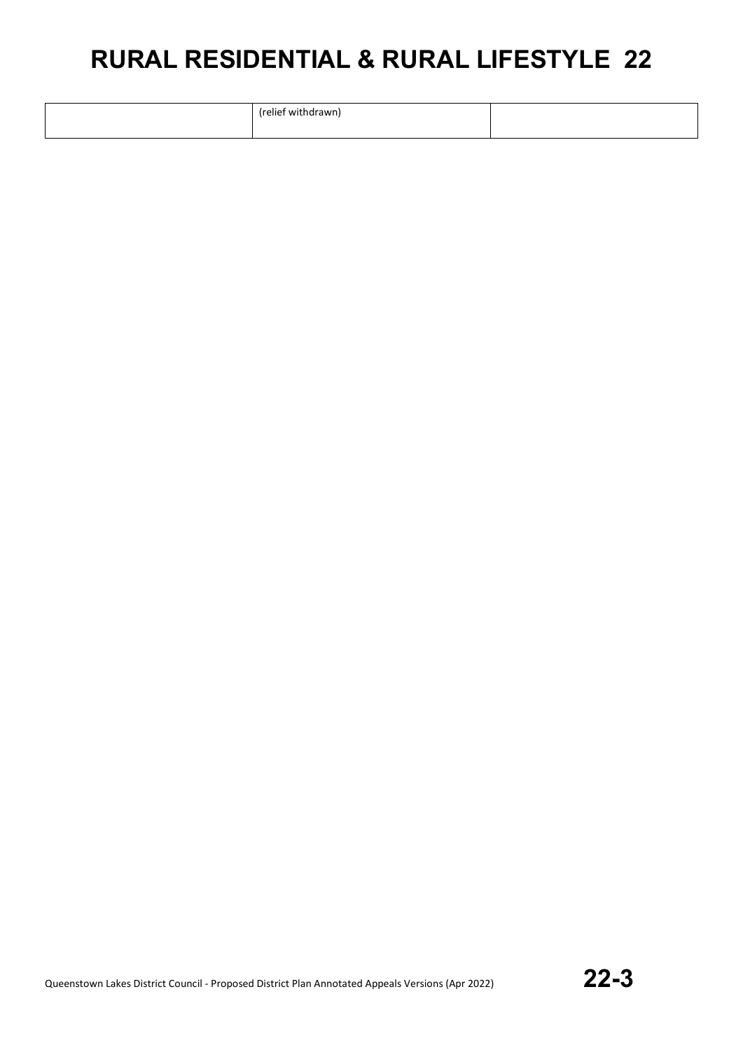| rolios.<br><b>18/11</b> |  |
|-------------------------|--|
|                         |  |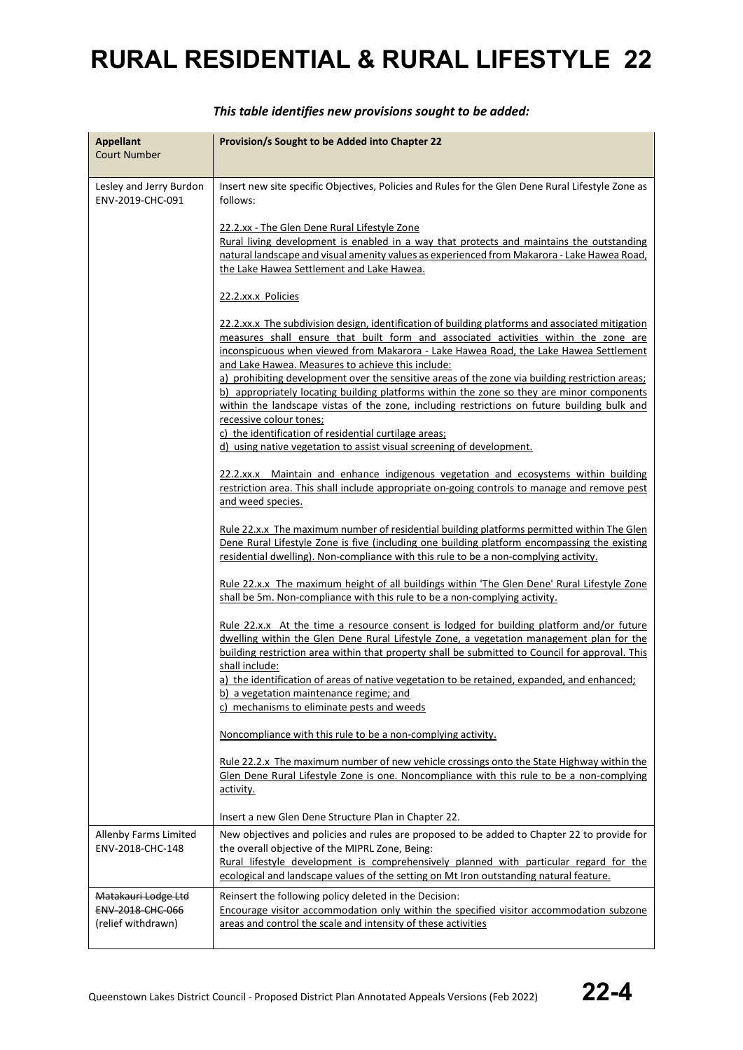| <b>Appellant</b><br><b>Court Number</b> | Provision/s Sought to be Added into Chapter 22                                                    |  |
|-----------------------------------------|---------------------------------------------------------------------------------------------------|--|
|                                         |                                                                                                   |  |
| Lesley and Jerry Burdon                 | Insert new site specific Objectives, Policies and Rules for the Glen Dene Rural Lifestyle Zone as |  |
| ENV-2019-CHC-091                        | follows:                                                                                          |  |
|                                         | 22.2.xx - The Glen Dene Rural Lifestyle Zone                                                      |  |
|                                         | Rural living development is enabled in a way that protects and maintains the outstanding          |  |
|                                         | natural landscape and visual amenity values as experienced from Makarora - Lake Hawea Road,       |  |
|                                         | the Lake Hawea Settlement and Lake Hawea.                                                         |  |
|                                         | 22.2.xx.x Policies                                                                                |  |
|                                         | 22.2.xx.x The subdivision design, identification of building platforms and associated mitigation  |  |
|                                         | measures shall ensure that built form and associated activities within the zone are               |  |
|                                         | inconspicuous when viewed from Makarora - Lake Hawea Road, the Lake Hawea Settlement              |  |
|                                         | and Lake Hawea. Measures to achieve this include:                                                 |  |
|                                         | a) prohibiting development over the sensitive areas of the zone via building restriction areas;   |  |
|                                         | b) appropriately locating building platforms within the zone so they are minor components         |  |
|                                         | within the landscape vistas of the zone, including restrictions on future building bulk and       |  |
|                                         | recessive colour tones;<br>c) the identification of residential curtilage areas;                  |  |
|                                         | d) using native vegetation to assist visual screening of development.                             |  |
|                                         |                                                                                                   |  |
|                                         | 22.2.xx.x Maintain and enhance indigenous vegetation and ecosystems within building               |  |
|                                         | restriction area. This shall include appropriate on-going controls to manage and remove pest      |  |
|                                         | and weed species.                                                                                 |  |
|                                         | Rule 22.x.x The maximum number of residential building platforms permitted within The Glen        |  |
|                                         | Dene Rural Lifestyle Zone is five (including one building platform encompassing the existing      |  |
|                                         | residential dwelling). Non-compliance with this rule to be a non-complying activity.              |  |
|                                         |                                                                                                   |  |
|                                         | Rule 22.x.x The maximum height of all buildings within 'The Glen Dene' Rural Lifestyle Zone       |  |
|                                         | shall be 5m. Non-compliance with this rule to be a non-complying activity.                        |  |
|                                         | <u>Rule 22.x.x At the time a resource consent is lodged for building platform and/or future</u>   |  |
|                                         | dwelling within the Glen Dene Rural Lifestyle Zone, a vegetation management plan for the          |  |
|                                         | building restriction area within that property shall be submitted to Council for approval. This   |  |
|                                         | shall include:                                                                                    |  |
|                                         | a) the identification of areas of native vegetation to be retained, expanded, and enhanced;       |  |
|                                         | b) a vegetation maintenance regime; and                                                           |  |
|                                         | c) mechanisms to eliminate pests and weeds                                                        |  |
|                                         | Noncompliance with this rule to be a non-complying activity.                                      |  |
|                                         | Rule 22.2.x The maximum number of new vehicle crossings onto the State Highway within the         |  |
|                                         | Glen Dene Rural Lifestyle Zone is one. Noncompliance with this rule to be a non-complying         |  |
|                                         | activity.                                                                                         |  |
|                                         |                                                                                                   |  |
|                                         | Insert a new Glen Dene Structure Plan in Chapter 22.                                              |  |
| Allenby Farms Limited                   | New objectives and policies and rules are proposed to be added to Chapter 22 to provide for       |  |
| ENV-2018-CHC-148                        | the overall objective of the MIPRL Zone, Being:                                                   |  |
|                                         | Rural lifestyle development is comprehensively planned with particular regard for the             |  |
|                                         | ecological and landscape values of the setting on Mt Iron outstanding natural feature.            |  |
| Matakauri Lodge Ltd                     | Reinsert the following policy deleted in the Decision:                                            |  |
| <b>ENV-2018-CHC-066</b>                 | Encourage visitor accommodation only within the specified visitor accommodation subzone           |  |
| (relief withdrawn)                      | areas and control the scale and intensity of these activities                                     |  |
|                                         |                                                                                                   |  |

### *This table identifies new provisions sought to be added:*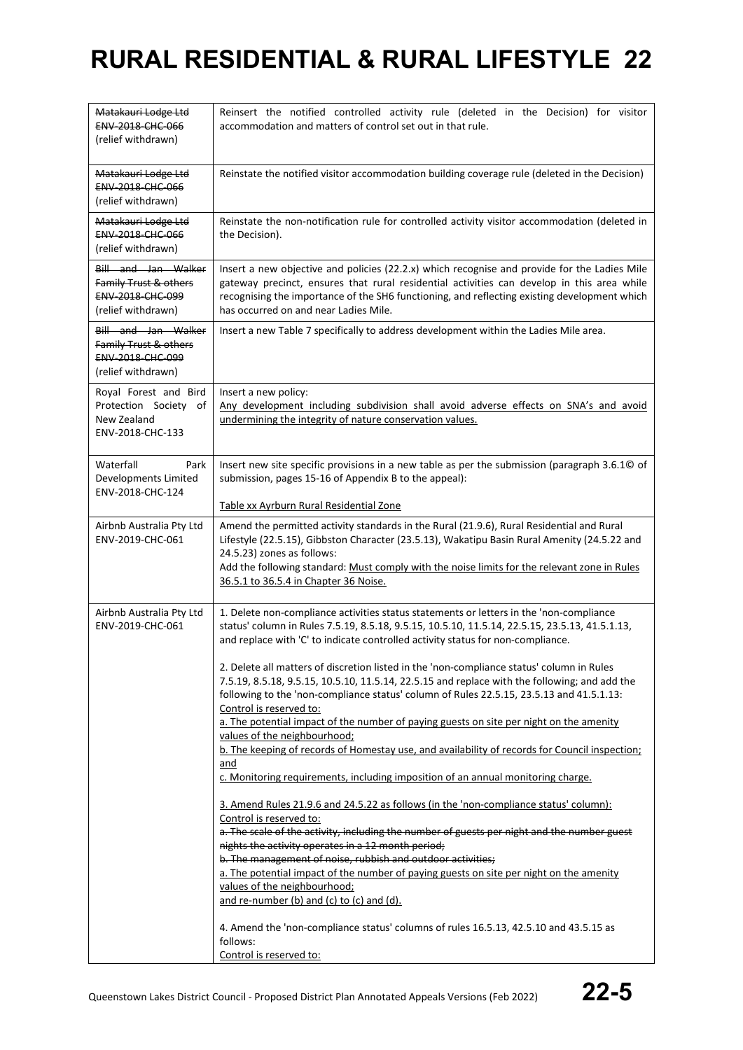| Matakauri Lodge Ltd<br>ENV-2018-CHC-066<br>(relief withdrawn)                                 | Reinsert the notified controlled activity rule (deleted in the Decision) for visitor<br>accommodation and matters of control set out in that rule.                                                                                                                                                                                                                                                                                                                                                                                                                                                                                                                                                                                                                                                                                                                                                                                                                                                                                                                                                                                                                                                                                                                                                                                                                                                                                                                                                                                                                        |  |
|-----------------------------------------------------------------------------------------------|---------------------------------------------------------------------------------------------------------------------------------------------------------------------------------------------------------------------------------------------------------------------------------------------------------------------------------------------------------------------------------------------------------------------------------------------------------------------------------------------------------------------------------------------------------------------------------------------------------------------------------------------------------------------------------------------------------------------------------------------------------------------------------------------------------------------------------------------------------------------------------------------------------------------------------------------------------------------------------------------------------------------------------------------------------------------------------------------------------------------------------------------------------------------------------------------------------------------------------------------------------------------------------------------------------------------------------------------------------------------------------------------------------------------------------------------------------------------------------------------------------------------------------------------------------------------------|--|
| Matakauri Lodge Ltd<br><b>ENV 2018 CHC 066</b><br>(relief withdrawn)                          | Reinstate the notified visitor accommodation building coverage rule (deleted in the Decision)                                                                                                                                                                                                                                                                                                                                                                                                                                                                                                                                                                                                                                                                                                                                                                                                                                                                                                                                                                                                                                                                                                                                                                                                                                                                                                                                                                                                                                                                             |  |
| Matakauri Lodge Ltd<br><b>ENV 2018 CHC 066</b><br>(relief withdrawn)                          | Reinstate the non-notification rule for controlled activity visitor accommodation (deleted in<br>the Decision).                                                                                                                                                                                                                                                                                                                                                                                                                                                                                                                                                                                                                                                                                                                                                                                                                                                                                                                                                                                                                                                                                                                                                                                                                                                                                                                                                                                                                                                           |  |
| Bill and Jan Walker<br>Family Trust & others<br>ENV-2018-CHC-099<br>(relief withdrawn)        | Insert a new objective and policies (22.2.x) which recognise and provide for the Ladies Mile<br>gateway precinct, ensures that rural residential activities can develop in this area while<br>recognising the importance of the SH6 functioning, and reflecting existing development which<br>has occurred on and near Ladies Mile.                                                                                                                                                                                                                                                                                                                                                                                                                                                                                                                                                                                                                                                                                                                                                                                                                                                                                                                                                                                                                                                                                                                                                                                                                                       |  |
| Bill and Jan Walker<br>Family Trust & others<br><b>ENV 2018 CHC 099</b><br>(relief withdrawn) | Insert a new Table 7 specifically to address development within the Ladies Mile area.                                                                                                                                                                                                                                                                                                                                                                                                                                                                                                                                                                                                                                                                                                                                                                                                                                                                                                                                                                                                                                                                                                                                                                                                                                                                                                                                                                                                                                                                                     |  |
| Royal Forest and Bird<br>Protection Society of<br>New Zealand<br>ENV-2018-CHC-133             | Insert a new policy:<br>Any development including subdivision shall avoid adverse effects on SNA's and avoid<br>undermining the integrity of nature conservation values.                                                                                                                                                                                                                                                                                                                                                                                                                                                                                                                                                                                                                                                                                                                                                                                                                                                                                                                                                                                                                                                                                                                                                                                                                                                                                                                                                                                                  |  |
| Waterfall<br>Park<br>Developments Limited<br>ENV-2018-CHC-124                                 | Insert new site specific provisions in a new table as per the submission (paragraph 3.6.10 of<br>submission, pages 15-16 of Appendix B to the appeal):<br>Table xx Ayrburn Rural Residential Zone                                                                                                                                                                                                                                                                                                                                                                                                                                                                                                                                                                                                                                                                                                                                                                                                                                                                                                                                                                                                                                                                                                                                                                                                                                                                                                                                                                         |  |
| Airbnb Australia Pty Ltd<br>ENV-2019-CHC-061                                                  | Amend the permitted activity standards in the Rural (21.9.6), Rural Residential and Rural<br>Lifestyle (22.5.15), Gibbston Character (23.5.13), Wakatipu Basin Rural Amenity (24.5.22 and<br>24.5.23) zones as follows:<br>Add the following standard: Must comply with the noise limits for the relevant zone in Rules<br>36.5.1 to 36.5.4 in Chapter 36 Noise.                                                                                                                                                                                                                                                                                                                                                                                                                                                                                                                                                                                                                                                                                                                                                                                                                                                                                                                                                                                                                                                                                                                                                                                                          |  |
| Airbnb Australia Pty Ltd<br>ENV-2019-CHC-061                                                  | 1. Delete non-compliance activities status statements or letters in the 'non-compliance<br>status' column in Rules 7.5.19, 8.5.18, 9.5.15, 10.5.10, 11.5.14, 22.5.15, 23.5.13, 41.5.1.13,<br>and replace with 'C' to indicate controlled activity status for non-compliance.<br>2. Delete all matters of discretion listed in the 'non-compliance status' column in Rules<br>7.5.19, 8.5.18, 9.5.15, 10.5.10, 11.5.14, 22.5.15 and replace with the following; and add the<br>following to the 'non-compliance status' column of Rules 22.5.15, 23.5.13 and 41.5.1.13:<br>Control is reserved to:<br>a. The potential impact of the number of paying guests on site per night on the amenity<br>values of the neighbourhood;<br>b. The keeping of records of Homestay use, and availability of records for Council inspection;<br>and<br>c. Monitoring requirements, including imposition of an annual monitoring charge.<br>3. Amend Rules 21.9.6 and 24.5.22 as follows (in the 'non-compliance status' column):<br>Control is reserved to:<br>a. The scale of the activity, including the number of guests per night and the number guest<br>nights the activity operates in a 12 month period;<br>b. The management of noise, rubbish and outdoor activities;<br>a. The potential impact of the number of paying guests on site per night on the amenity<br>values of the neighbourhood;<br>and re-number (b) and (c) to (c) and (d).<br>4. Amend the 'non-compliance status' columns of rules 16.5.13, 42.5.10 and 43.5.15 as<br>follows:<br>Control is reserved to: |  |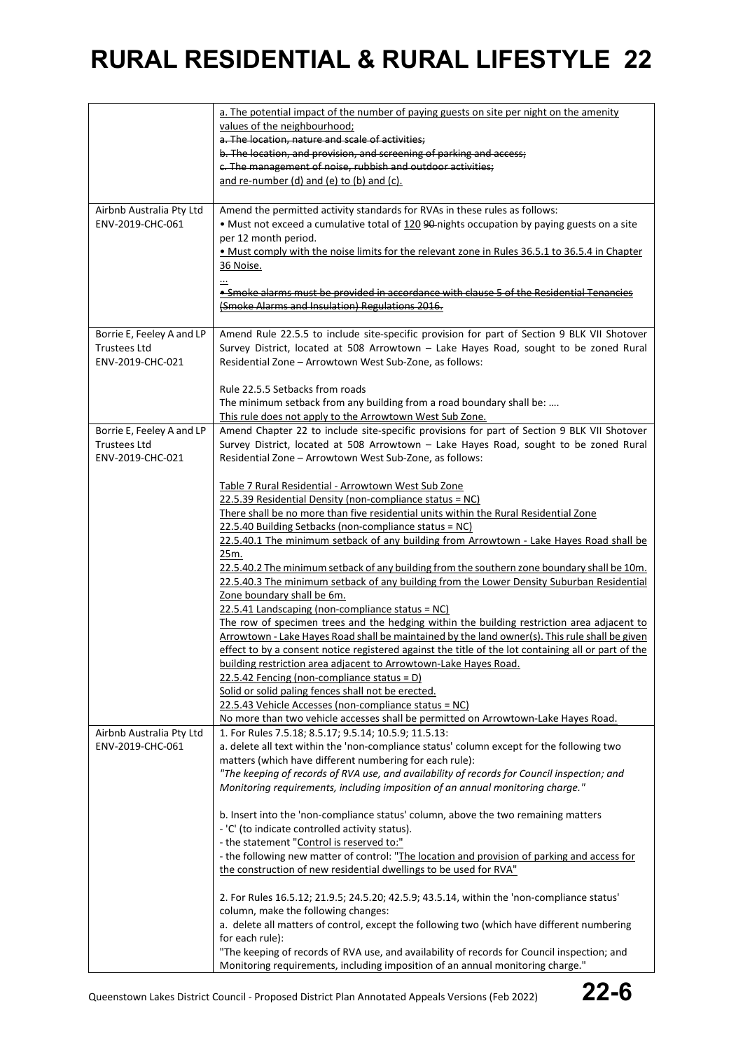|                           | a. The potential impact of the number of paying guests on site per night on the amenity                                                                                                  |
|---------------------------|------------------------------------------------------------------------------------------------------------------------------------------------------------------------------------------|
|                           | values of the neighbourhood;                                                                                                                                                             |
|                           | a. The location, nature and scale of activities;                                                                                                                                         |
|                           | b. The location, and provision, and screening of parking and access;                                                                                                                     |
|                           | c. The management of noise, rubbish and outdoor activities;                                                                                                                              |
|                           | and re-number (d) and (e) to (b) and (c).                                                                                                                                                |
|                           |                                                                                                                                                                                          |
| Airbnb Australia Pty Ltd  | Amend the permitted activity standards for RVAs in these rules as follows:                                                                                                               |
| ENV-2019-CHC-061          | . Must not exceed a cumulative total of 120 90-nights occupation by paying guests on a site                                                                                              |
|                           | per 12 month period.<br>• Must comply with the noise limits for the relevant zone in Rules 36.5.1 to 36.5.4 in Chapter                                                                   |
|                           | 36 Noise.                                                                                                                                                                                |
|                           |                                                                                                                                                                                          |
|                           | • Smoke alarms must be provided in accordance with clause 5 of the Residential Tenancies                                                                                                 |
|                           | (Smoke Alarms and Insulation) Regulations 2016.                                                                                                                                          |
|                           |                                                                                                                                                                                          |
| Borrie E, Feeley A and LP | Amend Rule 22.5.5 to include site-specific provision for part of Section 9 BLK VII Shotover                                                                                              |
| <b>Trustees Ltd</b>       | Survey District, located at 508 Arrowtown - Lake Hayes Road, sought to be zoned Rural                                                                                                    |
| ENV-2019-CHC-021          | Residential Zone - Arrowtown West Sub-Zone, as follows:                                                                                                                                  |
|                           | Rule 22.5.5 Setbacks from roads                                                                                                                                                          |
|                           |                                                                                                                                                                                          |
|                           | The minimum setback from any building from a road boundary shall be:<br>This rule does not apply to the Arrowtown West Sub Zone.                                                         |
| Borrie E, Feeley A and LP | Amend Chapter 22 to include site-specific provisions for part of Section 9 BLK VII Shotover                                                                                              |
| <b>Trustees Ltd</b>       | Survey District, located at 508 Arrowtown - Lake Hayes Road, sought to be zoned Rural                                                                                                    |
| ENV-2019-CHC-021          | Residential Zone - Arrowtown West Sub-Zone, as follows:                                                                                                                                  |
|                           |                                                                                                                                                                                          |
|                           | Table 7 Rural Residential - Arrowtown West Sub Zone                                                                                                                                      |
|                           | 22.5.39 Residential Density (non-compliance status = NC)                                                                                                                                 |
|                           | There shall be no more than five residential units within the Rural Residential Zone                                                                                                     |
|                           | 22.5.40 Building Setbacks (non-compliance status = NC)                                                                                                                                   |
|                           | 22.5.40.1 The minimum setback of any building from Arrowtown - Lake Hayes Road shall be                                                                                                  |
|                           | 25m.                                                                                                                                                                                     |
|                           | 22.5.40.2 The minimum setback of any building from the southern zone boundary shall be 10m.<br>22.5.40.3 The minimum setback of any building from the Lower Density Suburban Residential |
|                           | Zone boundary shall be 6m.                                                                                                                                                               |
|                           | 22.5.41 Landscaping (non-compliance status = NC)                                                                                                                                         |
|                           | The row of specimen trees and the hedging within the building restriction area adjacent to                                                                                               |
|                           | Arrowtown - Lake Hayes Road shall be maintained by the land owner(s). This rule shall be given                                                                                           |
|                           | effect to by a consent notice registered against the title of the lot containing all or part of the                                                                                      |
|                           | building restriction area adjacent to Arrowtown-Lake Hayes Road.                                                                                                                         |
|                           | $22.5.42$ Fencing (non-compliance status = D)                                                                                                                                            |
|                           | Solid or solid paling fences shall not be erected.                                                                                                                                       |
|                           | 22.5.43 Vehicle Accesses (non-compliance status = NC)                                                                                                                                    |
|                           | No more than two vehicle accesses shall be permitted on Arrowtown-Lake Hayes Road.                                                                                                       |
| Airbnb Australia Pty Ltd  | 1. For Rules 7.5.18; 8.5.17; 9.5.14; 10.5.9; 11.5.13:                                                                                                                                    |
| ENV-2019-CHC-061          | a. delete all text within the 'non-compliance status' column except for the following two<br>matters (which have different numbering for each rule):                                     |
|                           | "The keeping of records of RVA use, and availability of records for Council inspection; and                                                                                              |
|                           | Monitoring requirements, including imposition of an annual monitoring charge."                                                                                                           |
|                           |                                                                                                                                                                                          |
|                           | b. Insert into the 'non-compliance status' column, above the two remaining matters                                                                                                       |
|                           | - 'C' (to indicate controlled activity status).                                                                                                                                          |
|                           | - the statement "Control is reserved to:"                                                                                                                                                |
|                           | - the following new matter of control: "The location and provision of parking and access for                                                                                             |
|                           | the construction of new residential dwellings to be used for RVA"                                                                                                                        |
|                           |                                                                                                                                                                                          |
|                           | 2. For Rules 16.5.12; 21.9.5; 24.5.20; 42.5.9; 43.5.14, within the 'non-compliance status'                                                                                               |
|                           | column, make the following changes:<br>a. delete all matters of control, except the following two (which have different numbering                                                        |
|                           | for each rule):                                                                                                                                                                          |
|                           | "The keeping of records of RVA use, and availability of records for Council inspection; and                                                                                              |
|                           | Monitoring requirements, including imposition of an annual monitoring charge."                                                                                                           |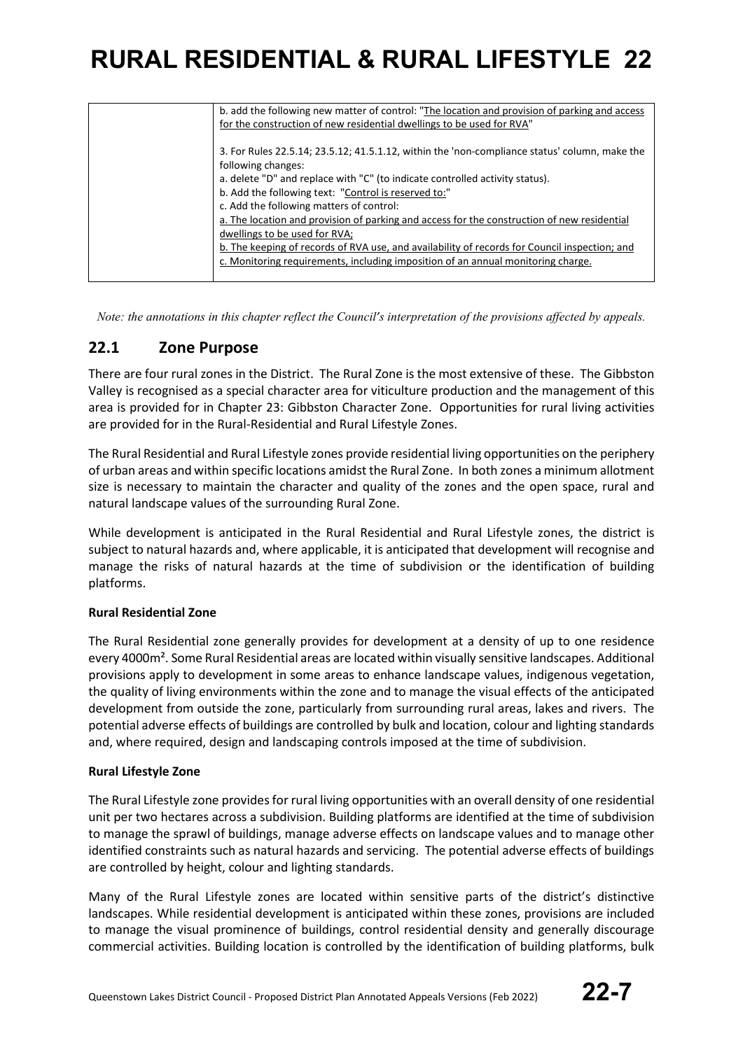| b. add the following new matter of control: "The location and provision of parking and access |
|-----------------------------------------------------------------------------------------------|
| for the construction of new residential dwellings to be used for RVA"                         |
|                                                                                               |
| 3. For Rules 22.5.14; 23.5.12; 41.5.1.12, within the 'non-compliance status' column, make the |
| following changes:                                                                            |
| a. delete "D" and replace with "C" (to indicate controlled activity status).                  |
| b. Add the following text: "Control is reserved to:"                                          |
| c. Add the following matters of control:                                                      |
| a. The location and provision of parking and access for the construction of new residential   |
| dwellings to be used for RVA;                                                                 |
| b. The keeping of records of RVA use, and availability of records for Council inspection; and |
| c. Monitoring requirements, including imposition of an annual monitoring charge.              |
|                                                                                               |

*Note: the annotations in this chapter reflect the Council's interpretation of the provisions affected by appeals.*

### **22.1 Zone Purpose**

There are four rural zones in the District. The Rural Zone is the most extensive of these. The Gibbston Valley is recognised as a special character area for viticulture production and the management of this area is provided for in Chapter 23: Gibbston Character Zone. Opportunities for rural living activities are provided for in the Rural-Residential and Rural Lifestyle Zones.

The Rural Residential and Rural Lifestyle zones provide residential living opportunities on the periphery of urban areas and within specific locations amidst the Rural Zone. In both zones a minimum allotment size is necessary to maintain the character and quality of the zones and the open space, rural and natural landscape values of the surrounding Rural Zone.

While development is anticipated in the Rural Residential and Rural Lifestyle zones, the district is subject to natural hazards and, where applicable, it is anticipated that development will recognise and manage the risks of natural hazards at the time of subdivision or the identification of building platforms.

### **Rural Residential Zone**

The Rural Residential zone generally provides for development at a density of up to one residence every 4000m². Some Rural Residential areas are located within visually sensitive landscapes. Additional provisions apply to development in some areas to enhance landscape values, indigenous vegetation, the quality of living environments within the zone and to manage the visual effects of the anticipated development from outside the zone, particularly from surrounding rural areas, lakes and rivers. The potential adverse effects of buildings are controlled by bulk and location, colour and lighting standards and, where required, design and landscaping controls imposed at the time of subdivision.

### **Rural Lifestyle Zone**

The Rural Lifestyle zone provides for rural living opportunities with an overall density of one residential unit per two hectares across a subdivision. Building platforms are identified at the time of subdivision to manage the sprawl of buildings, manage adverse effects on landscape values and to manage other identified constraints such as natural hazards and servicing. The potential adverse effects of buildings are controlled by height, colour and lighting standards.

Many of the Rural Lifestyle zones are located within sensitive parts of the district's distinctive landscapes. While residential development is anticipated within these zones, provisions are included to manage the visual prominence of buildings, control residential density and generally discourage commercial activities. Building location is controlled by the identification of building platforms, bulk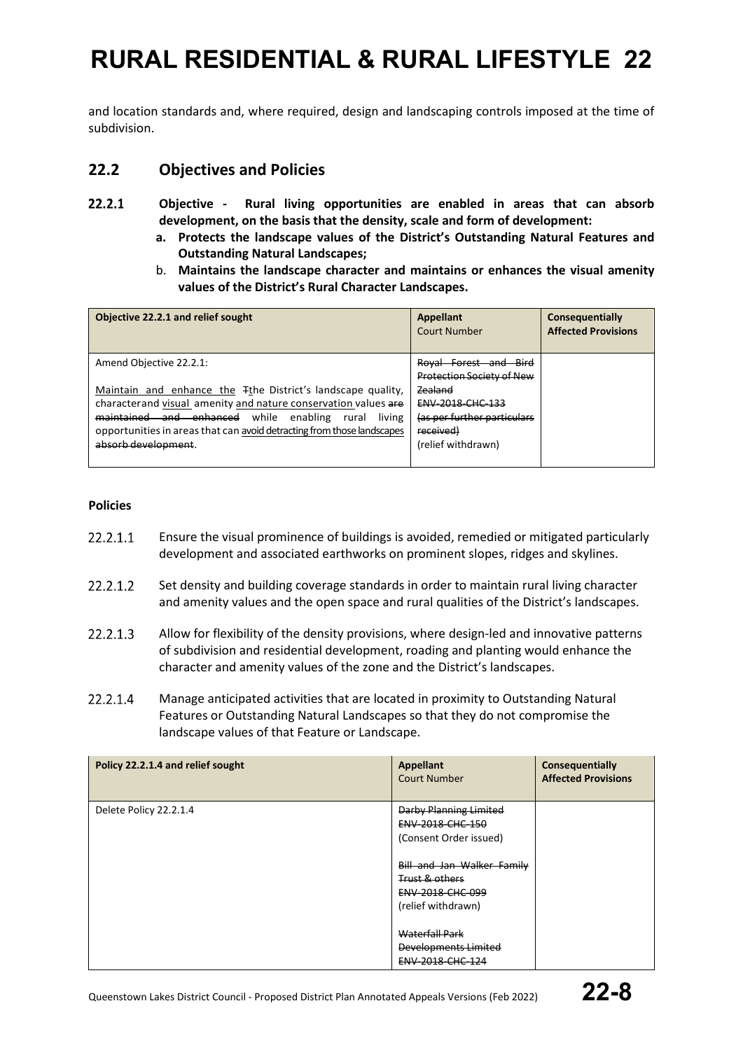and location standards and, where required, design and landscaping controls imposed at the time of subdivision.

### **22.2 Objectives and Policies**

- $22.2.1$ **Objective - Rural living opportunities are enabled in areas that can absorb development, on the basis that the density, scale and form of development:**
	- **a. Protects the landscape values of the District's Outstanding Natural Features and Outstanding Natural Landscapes;**
	- b. **Maintains the landscape character and maintains or enhances the visual amenity values of the District's Rural Character Landscapes.**

| Objective 22.2.1 and relief sought                                                                                                                                                                                                                                                                | Appellant<br><b>Court Number</b>                                                                     | Consequentially<br><b>Affected Provisions</b> |
|---------------------------------------------------------------------------------------------------------------------------------------------------------------------------------------------------------------------------------------------------------------------------------------------------|------------------------------------------------------------------------------------------------------|-----------------------------------------------|
| Amend Objective 22.2.1:                                                                                                                                                                                                                                                                           | Roval Forest and Bird<br>Protection Society of New                                                   |                                               |
| Maintain and enhance the Tthe District's landscape quality,<br>characterand visual amenity and nature conservation values are<br>maintained and enhanced<br>while<br>enabling<br>living<br>rural<br>opportunities in areas that can avoid detracting from those landscapes<br>absorb development. | Zealand<br><b>ENV-2018-CHC-133</b><br>(as per further particulars<br>received)<br>(relief withdrawn) |                                               |

### **Policies**

- 22.2.1.1 Ensure the visual prominence of buildings is avoided, remedied or mitigated particularly development and associated earthworks on prominent slopes, ridges and skylines.
- 22.2.1.2 Set density and building coverage standards in order to maintain rural living character and amenity values and the open space and rural qualities of the District's landscapes.
- 22.2.1.3 Allow for flexibility of the density provisions, where design-led and innovative patterns of subdivision and residential development, roading and planting would enhance the character and amenity values of the zone and the District's landscapes.
- 22.2.1.4 Manage anticipated activities that are located in proximity to Outstanding Natural Features or Outstanding Natural Landscapes so that they do not compromise the landscape values of that Feature or Landscape.

| Policy 22.2.1.4 and relief sought | Appellant<br><b>Court Number</b> | Consequentially<br><b>Affected Provisions</b> |
|-----------------------------------|----------------------------------|-----------------------------------------------|
| Delete Policy 22.2.1.4            | <b>Darby Planning Limited</b>    |                                               |
|                                   | ENV-2018-CHC-150                 |                                               |
|                                   | (Consent Order issued)           |                                               |
|                                   | Bill and Jan Walker Family       |                                               |
|                                   | Trust & others                   |                                               |
|                                   | ENV-2018-CHC-099                 |                                               |
|                                   | (relief withdrawn)               |                                               |
|                                   |                                  |                                               |
|                                   | Waterfall Park                   |                                               |
|                                   | Developments Limited             |                                               |
|                                   | <b>ENV 2018 CHC 124</b>          |                                               |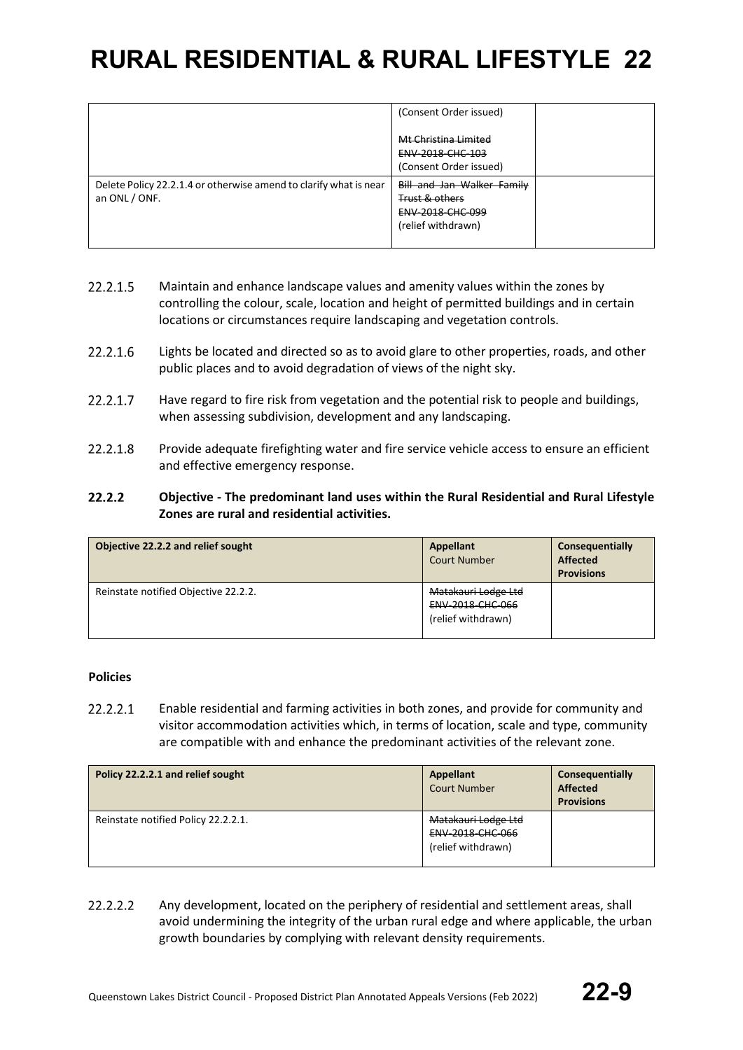|                                                                                    | (Consent Order issued)                                                                 |  |
|------------------------------------------------------------------------------------|----------------------------------------------------------------------------------------|--|
|                                                                                    | Mt Christina Limited<br><b>ENV 2018 CHC 103</b><br>(Consent Order issued)              |  |
| Delete Policy 22.2.1.4 or otherwise amend to clarify what is near<br>an ONL / ONF. | Bill and Jan Walker Family<br>Trust & others<br>ENV-2018-CHC-099<br>(relief withdrawn) |  |

- 22.2.1.5 Maintain and enhance landscape values and amenity values within the zones by controlling the colour, scale, location and height of permitted buildings and in certain locations or circumstances require landscaping and vegetation controls.
- 22.2.1.6 Lights be located and directed so as to avoid glare to other properties, roads, and other public places and to avoid degradation of views of the night sky.
- 22.2.1.7 Have regard to fire risk from vegetation and the potential risk to people and buildings, when assessing subdivision, development and any landscaping.
- 22.2.1.8 Provide adequate firefighting water and fire service vehicle access to ensure an efficient and effective emergency response.

#### $22.2.2$ **Objective - The predominant land uses within the Rural Residential and Rural Lifestyle Zones are rural and residential activities.**

| Objective 22.2.2 and relief sought   | Appellant<br><b>Court Number</b>                              | Consequentially<br><b>Affected</b><br><b>Provisions</b> |
|--------------------------------------|---------------------------------------------------------------|---------------------------------------------------------|
| Reinstate notified Objective 22.2.2. | Matakauri Lodge Ltd<br>ENV-2018-CHC-066<br>(relief withdrawn) |                                                         |

### **Policies**

 $22.2.2.1$ Enable residential and farming activities in both zones, and provide for community and visitor accommodation activities which, in terms of location, scale and type, community are compatible with and enhance the predominant activities of the relevant zone.

| Policy 22.2.2.1 and relief sought   | Appellant<br><b>Court Number</b>                                     | Consequentially<br><b>Affected</b><br><b>Provisions</b> |
|-------------------------------------|----------------------------------------------------------------------|---------------------------------------------------------|
| Reinstate notified Policy 22.2.2.1. | Matakauri Lodge Ltd<br><b>ENV 2018 CHC 066</b><br>(relief withdrawn) |                                                         |

#### 22.2.2.2 Any development, located on the periphery of residential and settlement areas, shall avoid undermining the integrity of the urban rural edge and where applicable, the urban growth boundaries by complying with relevant density requirements.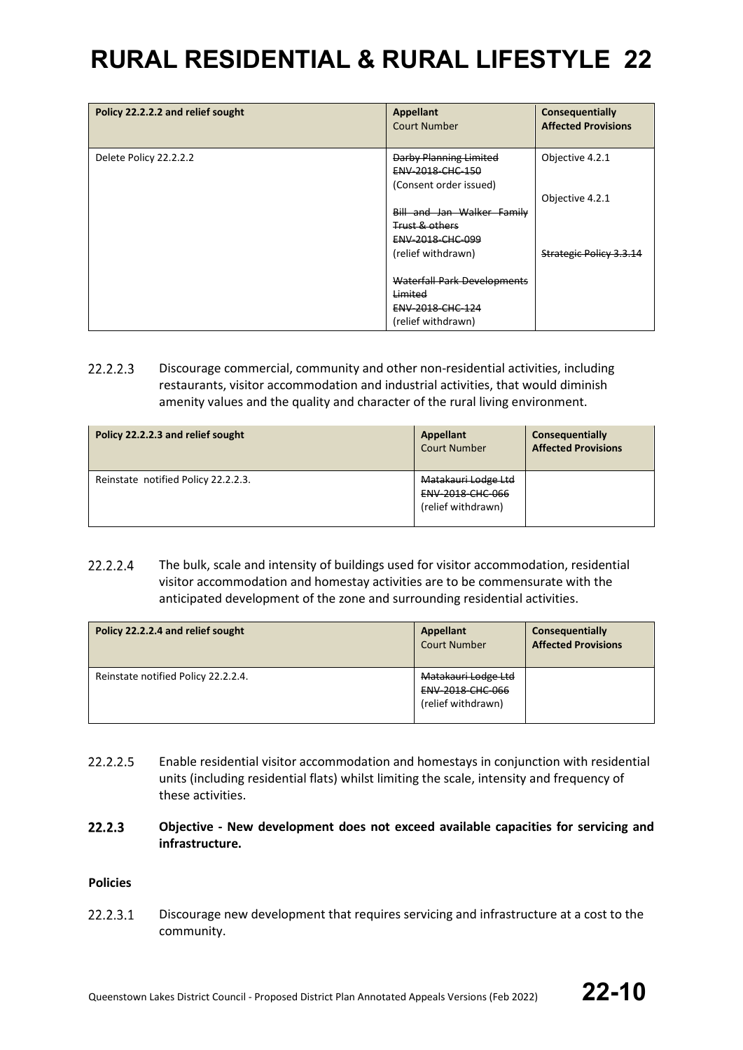| Policy 22.2.2.2 and relief sought | <b>Appellant</b><br>Court Number           | Consequentially<br><b>Affected Provisions</b> |
|-----------------------------------|--------------------------------------------|-----------------------------------------------|
| Delete Policy 22.2.2.2            | Darby Planning Limited<br>ENV-2018-CHC-150 | Objective 4.2.1                               |
|                                   | (Consent order issued)                     |                                               |
|                                   |                                            | Objective 4.2.1                               |
|                                   | Bill and Jan Walker Family                 |                                               |
|                                   | <b>Trust &amp; others</b>                  |                                               |
|                                   | ENV-2018-CHC-099                           |                                               |
|                                   | (relief withdrawn)                         | <b>Strategic Policy 3.3.14</b>                |
|                                   |                                            |                                               |
|                                   | Waterfall Park Developments                |                                               |
|                                   | Limited                                    |                                               |
|                                   | ENV-2018-CHC-124                           |                                               |
|                                   | (relief withdrawn)                         |                                               |

 $22.2.2.3$ Discourage commercial, community and other non-residential activities, including restaurants, visitor accommodation and industrial activities, that would diminish amenity values and the quality and character of the rural living environment.

| Policy 22.2.2.3 and relief sought   | Appellant<br><b>Court Number</b>                                     | Consequentially<br><b>Affected Provisions</b> |
|-------------------------------------|----------------------------------------------------------------------|-----------------------------------------------|
| Reinstate notified Policy 22.2.2.3. | Matakauri Lodge Ltd<br><b>ENV 2018 CHC 066</b><br>(relief withdrawn) |                                               |

22.2.2.4 The bulk, scale and intensity of buildings used for visitor accommodation, residential visitor accommodation and homestay activities are to be commensurate with the anticipated development of the zone and surrounding residential activities.

| Policy 22.2.2.4 and relief sought   | Appellant<br><b>Court Number</b>                              | Consequentially<br><b>Affected Provisions</b> |
|-------------------------------------|---------------------------------------------------------------|-----------------------------------------------|
| Reinstate notified Policy 22.2.2.4. | Matakauri Lodge Ltd<br>ENV-2018-CHC-066<br>(relief withdrawn) |                                               |

- 22.2.2.5 Enable residential visitor accommodation and homestays in conjunction with residential units (including residential flats) whilst limiting the scale, intensity and frequency of these activities.
- $22.2.3$ **Objective - New development does not exceed available capacities for servicing and infrastructure.**

### **Policies**

22.2.3.1 Discourage new development that requires servicing and infrastructure at a cost to the community.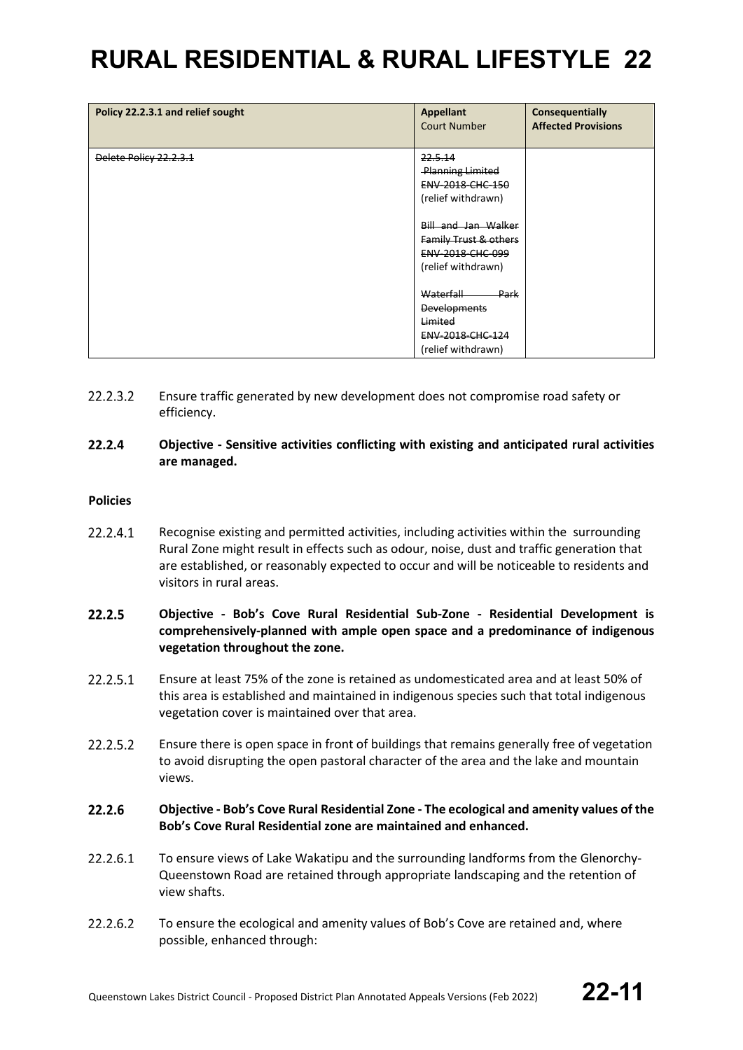| Policy 22.2.3.1 and relief sought | <b>Appellant</b><br><b>Court Number</b>                                                                                                                                                             | Consequentially<br><b>Affected Provisions</b> |
|-----------------------------------|-----------------------------------------------------------------------------------------------------------------------------------------------------------------------------------------------------|-----------------------------------------------|
| Delete Policy 22.2.3.1            | 22.5.14<br><b>Planning Limited</b><br>ENV-2018-CHC-150<br>(relief withdrawn)<br>Bill and Jan Walker<br>Family Trust & others<br><b>ENV 2018 CHC 099</b><br>(relief withdrawn)<br>Waterfall<br>-Park |                                               |
|                                   | <b>Developments</b><br>Limited<br><b>ENV 2018 CHC 124</b><br>(relief withdrawn)                                                                                                                     |                                               |

- 22.2.3.2 Ensure traffic generated by new development does not compromise road safety or efficiency.
- 22.2.4 **Objective - Sensitive activities conflicting with existing and anticipated rural activities are managed.**

### **Policies**

- 22.2.4.1 Recognise existing and permitted activities, including activities within the surrounding Rural Zone might result in effects such as odour, noise, dust and traffic generation that are established, or reasonably expected to occur and will be noticeable to residents and visitors in rural areas.
- 22.2.5 **Objective - Bob's Cove Rural Residential Sub-Zone - Residential Development is comprehensively-planned with ample open space and a predominance of indigenous vegetation throughout the zone.**
- 22.2.5.1 Ensure at least 75% of the zone is retained as undomesticated area and at least 50% of this area is established and maintained in indigenous species such that total indigenous vegetation cover is maintained over that area.
- 22.2.5.2 Ensure there is open space in front of buildings that remains generally free of vegetation to avoid disrupting the open pastoral character of the area and the lake and mountain views.
- $22.2.6$ **Objective - Bob's Cove Rural Residential Zone - The ecological and amenity values of the Bob's Cove Rural Residential zone are maintained and enhanced.**
- 22.2.6.1 To ensure views of Lake Wakatipu and the surrounding landforms from the Glenorchy-Queenstown Road are retained through appropriate landscaping and the retention of view shafts.
- 22.2.6.2 To ensure the ecological and amenity values of Bob's Cove are retained and, where possible, enhanced through: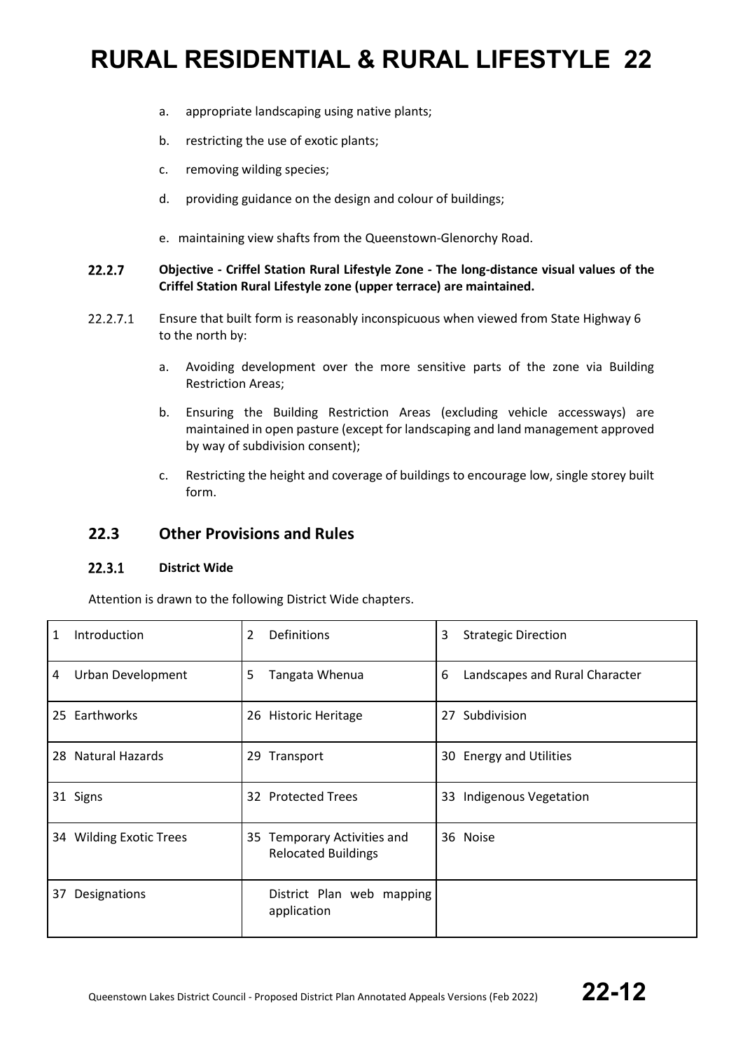- a. appropriate landscaping using native plants;
- b. restricting the use of exotic plants;
- c. removing wilding species;
- d. providing guidance on the design and colour of buildings;
- e. maintaining view shafts from the Queenstown-Glenorchy Road.

#### $22.2.7$ **Objective - Criffel Station Rural Lifestyle Zone - The long-distance visual values of the Criffel Station Rural Lifestyle zone (upper terrace) are maintained.**

- 22.2.7.1 Ensure that built form is reasonably inconspicuous when viewed from State Highway 6 to the north by:
	- a. Avoiding development over the more sensitive parts of the zone via Building Restriction Areas;
	- b. Ensuring the Building Restriction Areas (excluding vehicle accessways) are maintained in open pasture (except for landscaping and land management approved by way of subdivision consent);
	- c. Restricting the height and coverage of buildings to encourage low, single storey built form.

### **22.3 Other Provisions and Rules**

#### $22.3.1$ **District Wide**

Attention is drawn to the following District Wide chapters.

| 1  | Introduction            | 2<br>Definitions                                          | 3<br><b>Strategic Direction</b>     |
|----|-------------------------|-----------------------------------------------------------|-------------------------------------|
| 4  | Urban Development       | 5<br>Tangata Whenua                                       | 6<br>Landscapes and Rural Character |
|    | 25 Earthworks           | 26 Historic Heritage                                      | Subdivision<br>27                   |
|    | 28 Natural Hazards      | 29 Transport                                              | 30 Energy and Utilities             |
|    | 31 Signs                | 32 Protected Trees                                        | 33 Indigenous Vegetation            |
|    | 34 Wilding Exotic Trees | 35 Temporary Activities and<br><b>Relocated Buildings</b> | 36 Noise                            |
| 37 | Designations            | District Plan web mapping<br>application                  |                                     |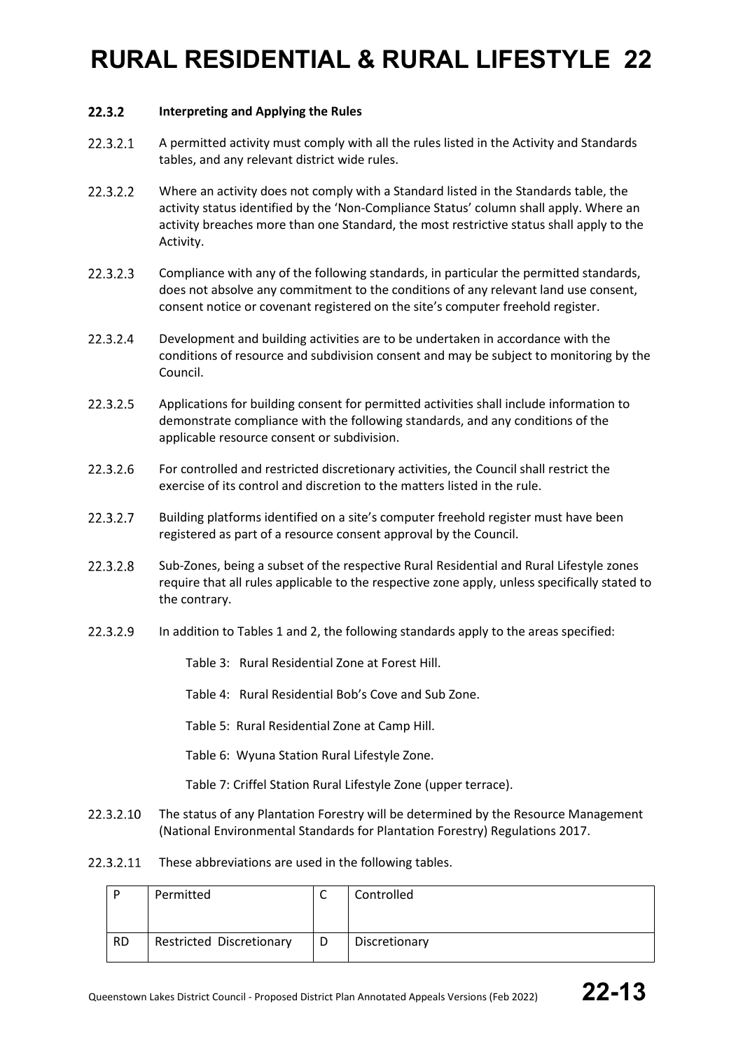#### $22.3.2$ **Interpreting and Applying the Rules**

- 22.3.2.1 A permitted activity must comply with all the rules listed in the Activity and Standards tables, and any relevant district wide rules.
- 22.3.2.2 Where an activity does not comply with a Standard listed in the Standards table, the activity status identified by the 'Non-Compliance Status' column shall apply. Where an activity breaches more than one Standard, the most restrictive status shall apply to the Activity.
- 22.3.2.3 Compliance with any of the following standards, in particular the permitted standards, does not absolve any commitment to the conditions of any relevant land use consent, consent notice or covenant registered on the site's computer freehold register.
- 22.3.2.4 Development and building activities are to be undertaken in accordance with the conditions of resource and subdivision consent and may be subject to monitoring by the Council.
- 22.3.2.5 Applications for building consent for permitted activities shall include information to demonstrate compliance with the following standards, and any conditions of the applicable resource consent or subdivision.
- 22.3.2.6 For controlled and restricted discretionary activities, the Council shall restrict the exercise of its control and discretion to the matters listed in the rule.
- 22.3.2.7 Building platforms identified on a site's computer freehold register must have been registered as part of a resource consent approval by the Council.
- 22.3.2.8 Sub-Zones, being a subset of the respective Rural Residential and Rural Lifestyle zones require that all rules applicable to the respective zone apply, unless specifically stated to the contrary.
- 22.3.2.9 In addition to Tables 1 and 2, the following standards apply to the areas specified:
	- Table 3: Rural Residential Zone at Forest Hill.
	- Table 4: Rural Residential Bob's Cove and Sub Zone.
	- Table 5: Rural Residential Zone at Camp Hill.
	- Table 6: Wyuna Station Rural Lifestyle Zone.
	- Table 7: Criffel Station Rural Lifestyle Zone (upper terrace).
- The status of any Plantation Forestry will be determined by the Resource Management 22.3.2.10 (National Environmental Standards for Plantation Forestry) Regulations 2017.
- 22.3.2.11 These abbreviations are used in the following tables.

| D         | Permitted                | ∼ | Controlled    |
|-----------|--------------------------|---|---------------|
| <b>RD</b> | Restricted Discretionary | D | Discretionary |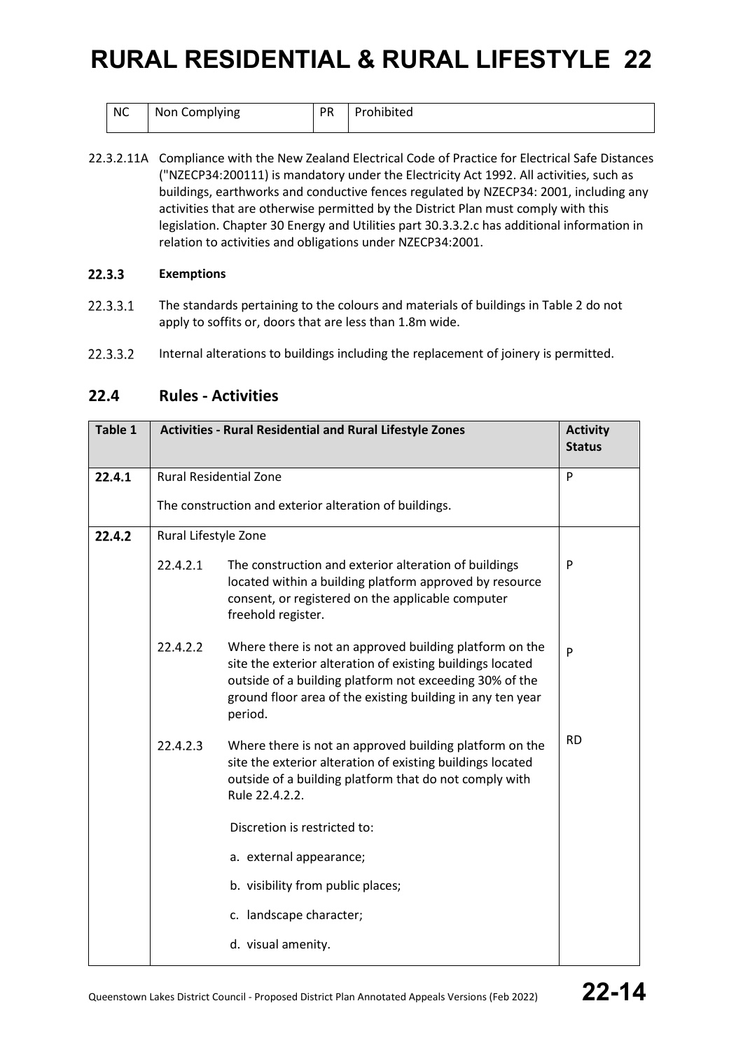| $\mid$ NC | Non Complying | <b>PR</b> | Prohibited |
|-----------|---------------|-----------|------------|
|           |               |           |            |

22.3.2.11A Compliance with the New Zealand Electrical Code of Practice for Electrical Safe Distances ("NZECP34:200111) is mandatory under the Electricity Act 1992. All activities, such as buildings, earthworks and conductive fences regulated by NZECP34: 2001, including any activities that are otherwise permitted by the District Plan must comply with this legislation. Chapter 30 Energy and Utilities part 30.3.3.2.c has additional information in relation to activities and obligations under NZECP34:2001.

#### 22.3.3 **Exemptions**

- 22.3.3.1 The standards pertaining to the colours and materials of buildings in Table 2 do not apply to soffits or, doors that are less than 1.8m wide.
- 22.3.3.2 Internal alterations to buildings including the replacement of joinery is permitted.

### **22.4 Rules - Activities**

| Table 1 |                                                                                                                                                                                                               | <b>Activities - Rural Residential and Rural Lifestyle Zones</b>                                                                                                                                                                                           |           |  |  |
|---------|---------------------------------------------------------------------------------------------------------------------------------------------------------------------------------------------------------------|-----------------------------------------------------------------------------------------------------------------------------------------------------------------------------------------------------------------------------------------------------------|-----------|--|--|
| 22.4.1  |                                                                                                                                                                                                               | <b>Rural Residential Zone</b>                                                                                                                                                                                                                             | P         |  |  |
|         |                                                                                                                                                                                                               | The construction and exterior alteration of buildings.                                                                                                                                                                                                    |           |  |  |
| 22.4.2  | Rural Lifestyle Zone                                                                                                                                                                                          |                                                                                                                                                                                                                                                           |           |  |  |
|         | 22.4.2.1                                                                                                                                                                                                      | The construction and exterior alteration of buildings<br>located within a building platform approved by resource<br>consent, or registered on the applicable computer<br>freehold register.                                                               | P         |  |  |
|         | 22.4.2.2                                                                                                                                                                                                      | Where there is not an approved building platform on the<br>site the exterior alteration of existing buildings located<br>outside of a building platform not exceeding 30% of the<br>ground floor area of the existing building in any ten year<br>period. | P         |  |  |
|         | 22.4.2.3<br>Where there is not an approved building platform on the<br>site the exterior alteration of existing buildings located<br>outside of a building platform that do not comply with<br>Rule 22.4.2.2. |                                                                                                                                                                                                                                                           | <b>RD</b> |  |  |
|         |                                                                                                                                                                                                               | Discretion is restricted to:                                                                                                                                                                                                                              |           |  |  |
|         |                                                                                                                                                                                                               | a. external appearance;                                                                                                                                                                                                                                   |           |  |  |
|         |                                                                                                                                                                                                               | b. visibility from public places;                                                                                                                                                                                                                         |           |  |  |
|         |                                                                                                                                                                                                               | c. landscape character;                                                                                                                                                                                                                                   |           |  |  |
|         |                                                                                                                                                                                                               | d. visual amenity.                                                                                                                                                                                                                                        |           |  |  |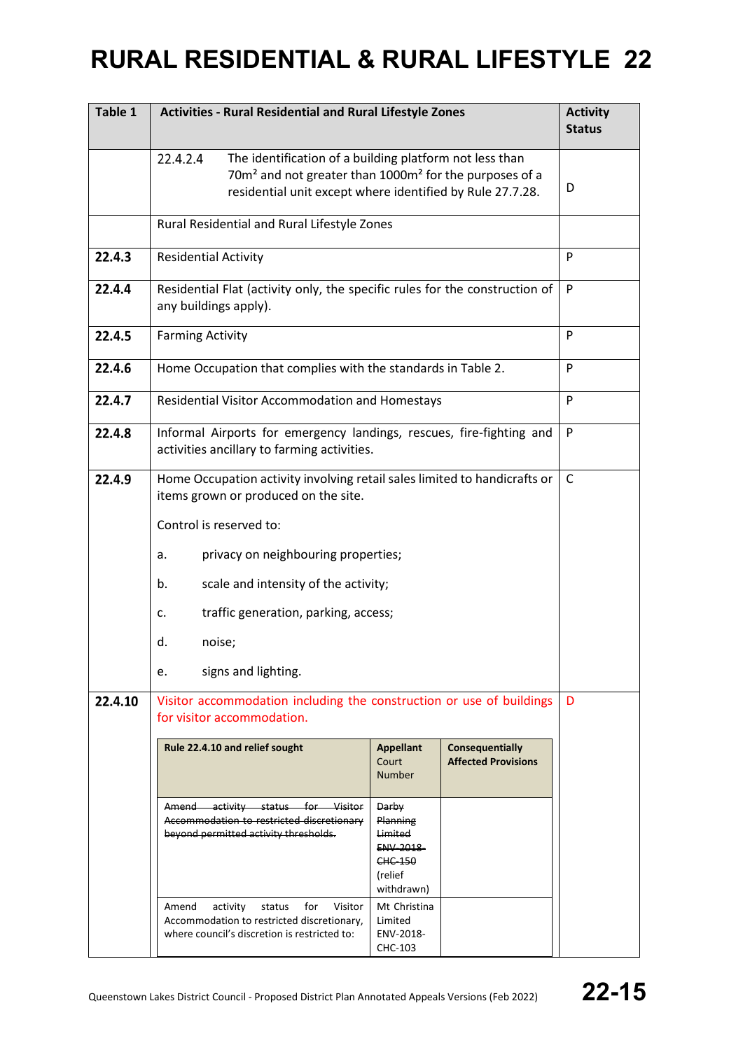| Table 1 | <b>Activities - Rural Residential and Rural Lifestyle Zones</b>                                                                                                                                                    | <b>Activity</b><br><b>Status</b>                                                                  |                                                      |   |
|---------|--------------------------------------------------------------------------------------------------------------------------------------------------------------------------------------------------------------------|---------------------------------------------------------------------------------------------------|------------------------------------------------------|---|
|         | 22.4.2.4<br>The identification of a building platform not less than<br>70m <sup>2</sup> and not greater than 1000m <sup>2</sup> for the purposes of a<br>residential unit except where identified by Rule 27.7.28. |                                                                                                   |                                                      | D |
|         | Rural Residential and Rural Lifestyle Zones                                                                                                                                                                        |                                                                                                   |                                                      |   |
| 22.4.3  | <b>Residential Activity</b>                                                                                                                                                                                        | P                                                                                                 |                                                      |   |
| 22.4.4  | Residential Flat (activity only, the specific rules for the construction of<br>any buildings apply).                                                                                                               | P                                                                                                 |                                                      |   |
| 22.4.5  | <b>Farming Activity</b>                                                                                                                                                                                            |                                                                                                   |                                                      | P |
| 22.4.6  | Home Occupation that complies with the standards in Table 2.                                                                                                                                                       |                                                                                                   |                                                      | P |
| 22.4.7  | Residential Visitor Accommodation and Homestays                                                                                                                                                                    |                                                                                                   |                                                      | P |
| 22.4.8  | Informal Airports for emergency landings, rescues, fire-fighting and<br>activities ancillary to farming activities.                                                                                                |                                                                                                   |                                                      | P |
| 22.4.9  | Home Occupation activity involving retail sales limited to handicrafts or<br>items grown or produced on the site.                                                                                                  | C                                                                                                 |                                                      |   |
|         | Control is reserved to:                                                                                                                                                                                            |                                                                                                   |                                                      |   |
|         | privacy on neighbouring properties;<br>a.                                                                                                                                                                          |                                                                                                   |                                                      |   |
|         | scale and intensity of the activity;<br>b.                                                                                                                                                                         |                                                                                                   |                                                      |   |
|         | traffic generation, parking, access;<br>c.                                                                                                                                                                         |                                                                                                   |                                                      |   |
|         | d.<br>noise;                                                                                                                                                                                                       |                                                                                                   |                                                      |   |
|         | signs and lighting.<br>e.                                                                                                                                                                                          |                                                                                                   |                                                      |   |
| 22.4.10 | Visitor accommodation including the construction or use of buildings<br>for visitor accommodation.                                                                                                                 |                                                                                                   |                                                      | D |
|         | Rule 22.4.10 and relief sought                                                                                                                                                                                     | <b>Appellant</b><br>Court<br><b>Number</b>                                                        | <b>Consequentially</b><br><b>Affected Provisions</b> |   |
|         | Amend<br>activity status for Visitor<br>Accommodation to restricted discretionary<br>beyond permitted activity thresholds.                                                                                         | <b>Darby</b><br>Planning<br>Limited<br><b>ENV 2018</b><br><b>CHC 150</b><br>(relief<br>withdrawn) |                                                      |   |
|         | activity<br>Amend<br>status<br>for<br>Visitor<br>Accommodation to restricted discretionary,<br>where council's discretion is restricted to:                                                                        | Mt Christina<br>Limited<br>ENV-2018-<br>CHC-103                                                   |                                                      |   |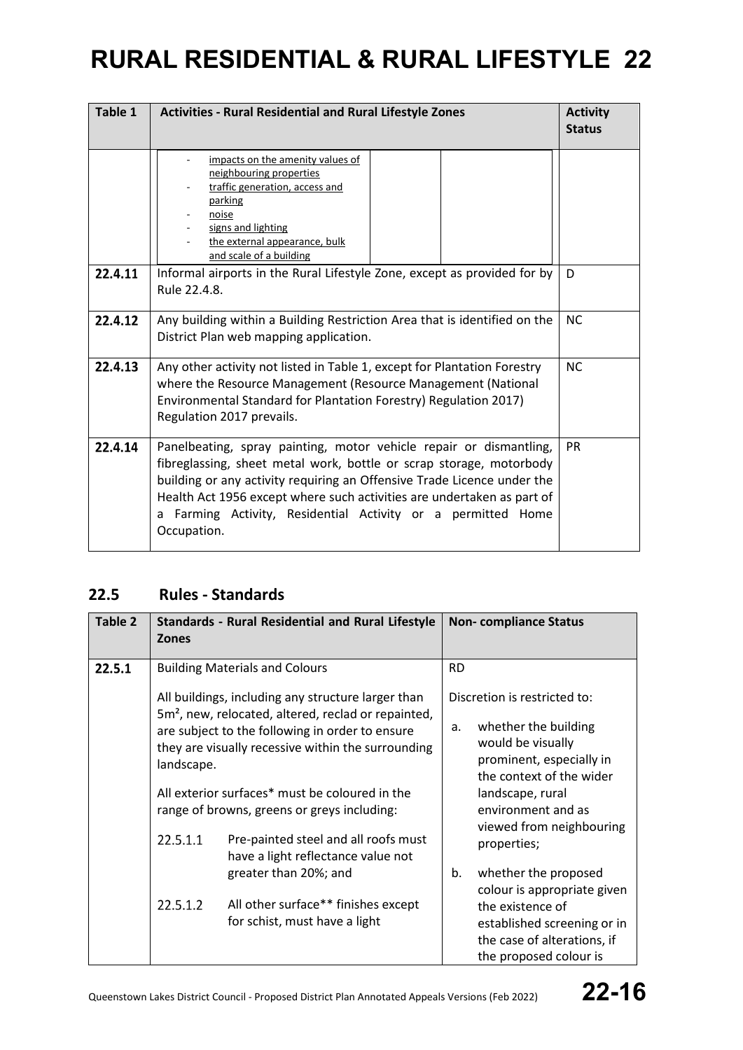| Table 1 | <b>Activities - Rural Residential and Rural Lifestyle Zones</b>                                                                                                                                                                                                                                                                                                               | <b>Activity</b><br><b>Status</b> |  |
|---------|-------------------------------------------------------------------------------------------------------------------------------------------------------------------------------------------------------------------------------------------------------------------------------------------------------------------------------------------------------------------------------|----------------------------------|--|
|         | impacts on the amenity values of<br>neighbouring properties<br>traffic generation, access and<br>parking<br>noise<br>signs and lighting<br>the external appearance, bulk<br>and scale of a building                                                                                                                                                                           |                                  |  |
| 22.4.11 | Informal airports in the Rural Lifestyle Zone, except as provided for by<br>Rule 22.4.8.                                                                                                                                                                                                                                                                                      | D                                |  |
| 22.4.12 | Any building within a Building Restriction Area that is identified on the<br>District Plan web mapping application.                                                                                                                                                                                                                                                           |                                  |  |
| 22.4.13 | Any other activity not listed in Table 1, except for Plantation Forestry<br>where the Resource Management (Resource Management (National<br>Environmental Standard for Plantation Forestry) Regulation 2017)<br>Regulation 2017 prevails.                                                                                                                                     |                                  |  |
| 22.4.14 | Panelbeating, spray painting, motor vehicle repair or dismantling,<br>fibreglassing, sheet metal work, bottle or scrap storage, motorbody<br>building or any activity requiring an Offensive Trade Licence under the<br>Health Act 1956 except where such activities are undertaken as part of<br>a Farming Activity, Residential Activity or a permitted Home<br>Occupation. | <b>PR</b>                        |  |

### **22.5 Rules - Standards**

| Table 2 | <b>Zones</b>           | <b>Standards - Rural Residential and Rural Lifestyle</b>                                                                                                                                                                                                                                                                                                                | <b>Non-compliance Status</b>                                                                                                                                                                                                 |
|---------|------------------------|-------------------------------------------------------------------------------------------------------------------------------------------------------------------------------------------------------------------------------------------------------------------------------------------------------------------------------------------------------------------------|------------------------------------------------------------------------------------------------------------------------------------------------------------------------------------------------------------------------------|
| 22.5.1  |                        | <b>Building Materials and Colours</b>                                                                                                                                                                                                                                                                                                                                   | <b>RD</b>                                                                                                                                                                                                                    |
|         | landscape.<br>22.5.1.1 | All buildings, including any structure larger than<br>5m <sup>2</sup> , new, relocated, altered, reclad or repainted,<br>are subject to the following in order to ensure<br>they are visually recessive within the surrounding<br>All exterior surfaces* must be coloured in the<br>range of browns, greens or greys including:<br>Pre-painted steel and all roofs must | Discretion is restricted to:<br>whether the building<br>a.<br>would be visually<br>prominent, especially in<br>the context of the wider<br>landscape, rural<br>environment and as<br>viewed from neighbouring<br>properties; |
|         | 22.5.1.2               | have a light reflectance value not<br>greater than 20%; and<br>All other surface** finishes except<br>for schist, must have a light                                                                                                                                                                                                                                     | whether the proposed<br>b.<br>colour is appropriate given<br>the existence of<br>established screening or in<br>the case of alterations, if                                                                                  |
|         |                        |                                                                                                                                                                                                                                                                                                                                                                         | the proposed colour is                                                                                                                                                                                                       |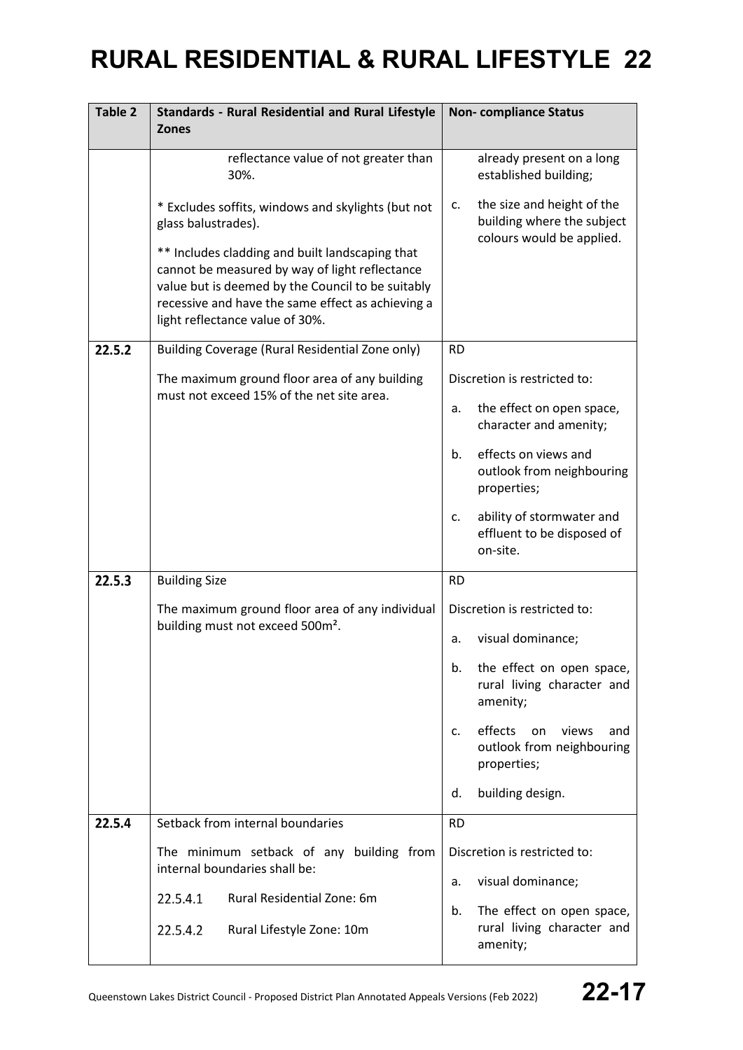| Table 2 | <b>Standards - Rural Residential and Rural Lifestyle</b><br><b>Zones</b>                                                                                                                                                                       | <b>Non-compliance Status</b>                                                                |
|---------|------------------------------------------------------------------------------------------------------------------------------------------------------------------------------------------------------------------------------------------------|---------------------------------------------------------------------------------------------|
|         | reflectance value of not greater than<br>30%.                                                                                                                                                                                                  | already present on a long<br>established building;                                          |
|         | * Excludes soffits, windows and skylights (but not<br>glass balustrades).                                                                                                                                                                      | the size and height of the<br>c.<br>building where the subject<br>colours would be applied. |
|         | ** Includes cladding and built landscaping that<br>cannot be measured by way of light reflectance<br>value but is deemed by the Council to be suitably<br>recessive and have the same effect as achieving a<br>light reflectance value of 30%. |                                                                                             |
| 22.5.2  | Building Coverage (Rural Residential Zone only)                                                                                                                                                                                                | <b>RD</b>                                                                                   |
|         | The maximum ground floor area of any building<br>must not exceed 15% of the net site area.                                                                                                                                                     | Discretion is restricted to:                                                                |
|         |                                                                                                                                                                                                                                                | the effect on open space,<br>a.<br>character and amenity;                                   |
|         |                                                                                                                                                                                                                                                | effects on views and<br>b.<br>outlook from neighbouring<br>properties;                      |
|         |                                                                                                                                                                                                                                                | ability of stormwater and<br>c.<br>effluent to be disposed of<br>on-site.                   |
| 22.5.3  | <b>Building Size</b>                                                                                                                                                                                                                           | <b>RD</b>                                                                                   |
|         | The maximum ground floor area of any individual<br>building must not exceed 500m <sup>2</sup> .                                                                                                                                                | Discretion is restricted to:                                                                |
|         |                                                                                                                                                                                                                                                | visual dominance;<br>a.                                                                     |
|         |                                                                                                                                                                                                                                                | the effect on open space,<br>b.<br>rural living character and<br>amenity;                   |
|         |                                                                                                                                                                                                                                                | effects<br>on<br>views<br>and<br>c.<br>outlook from neighbouring<br>properties;             |
|         |                                                                                                                                                                                                                                                | building design.<br>d.                                                                      |
| 22.5.4  | Setback from internal boundaries                                                                                                                                                                                                               | <b>RD</b>                                                                                   |
|         | The minimum setback of any building from<br>internal boundaries shall be:                                                                                                                                                                      | Discretion is restricted to:                                                                |
|         | Rural Residential Zone: 6m<br>22.5.4.1                                                                                                                                                                                                         | visual dominance;<br>a.                                                                     |
|         | 22.5.4.2<br>Rural Lifestyle Zone: 10m                                                                                                                                                                                                          | The effect on open space,<br>b.<br>rural living character and<br>amenity;                   |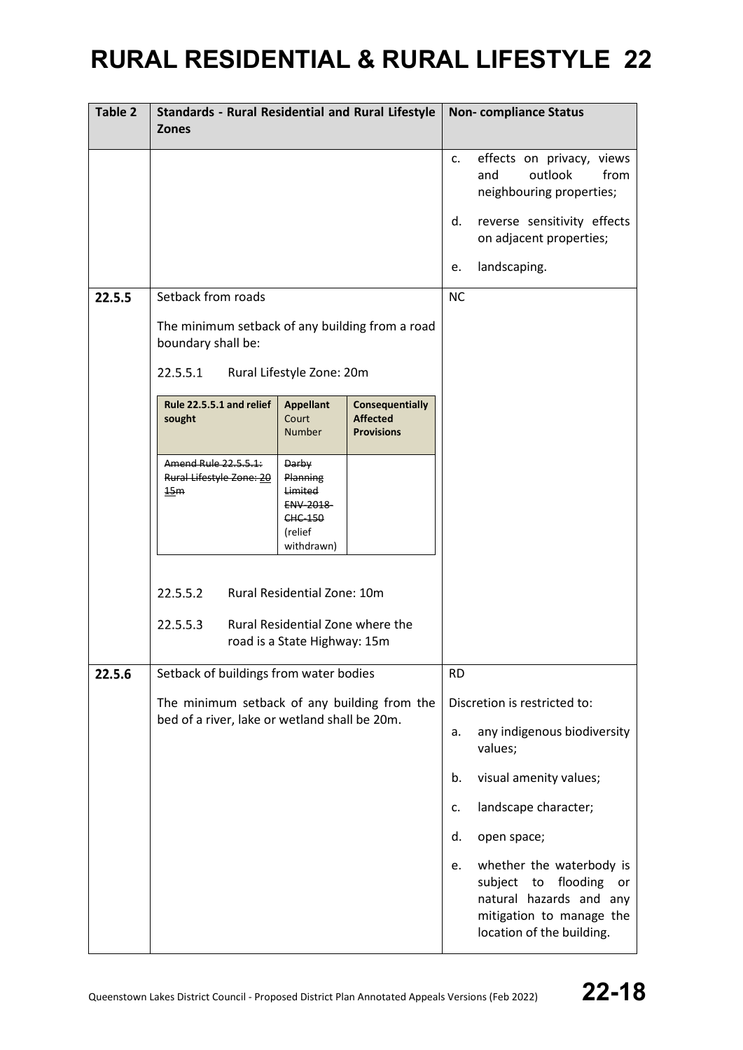| Table 2 | <b>Standards - Rural Residential and Rural Lifestyle</b><br><b>Zones</b>                      |                                                                                                   |                                                                |           | <b>Non-compliance Status</b>                                                                                                                    |
|---------|-----------------------------------------------------------------------------------------------|---------------------------------------------------------------------------------------------------|----------------------------------------------------------------|-----------|-------------------------------------------------------------------------------------------------------------------------------------------------|
|         |                                                                                               |                                                                                                   |                                                                | c.        | effects on privacy, views<br>outlook<br>from<br>and<br>neighbouring properties;                                                                 |
|         |                                                                                               |                                                                                                   |                                                                | d.        | reverse sensitivity effects<br>on adjacent properties;                                                                                          |
|         |                                                                                               |                                                                                                   |                                                                | e.        | landscaping.                                                                                                                                    |
| 22.5.5  | Setback from roads                                                                            |                                                                                                   |                                                                | <b>NC</b> |                                                                                                                                                 |
|         | The minimum setback of any building from a road<br>boundary shall be:                         |                                                                                                   |                                                                |           |                                                                                                                                                 |
|         | 22.5.5.1                                                                                      | Rural Lifestyle Zone: 20m                                                                         |                                                                |           |                                                                                                                                                 |
|         | Rule 22.5.5.1 and relief<br>sought                                                            | <b>Appellant</b><br>Court<br><b>Number</b>                                                        | <b>Consequentially</b><br><b>Affected</b><br><b>Provisions</b> |           |                                                                                                                                                 |
|         | Amend Rule 22.5.5.1:<br>Rural Lifestyle Zone: 20<br>15m                                       | <b>Darby</b><br>Planning<br>Limited<br><b>ENV 2018</b><br><b>CHC 150</b><br>(relief<br>withdrawn) |                                                                |           |                                                                                                                                                 |
|         | 22.5.5.2<br>22.5.5.3                                                                          | Rural Residential Zone: 10m<br>Rural Residential Zone where the<br>road is a State Highway: 15m   |                                                                |           |                                                                                                                                                 |
| 22.5.6  | Setback of buildings from water bodies                                                        |                                                                                                   |                                                                | <b>RD</b> |                                                                                                                                                 |
|         | The minimum setback of any building from the<br>bed of a river, lake or wetland shall be 20m. |                                                                                                   |                                                                |           | Discretion is restricted to:                                                                                                                    |
|         |                                                                                               |                                                                                                   |                                                                | a.        | any indigenous biodiversity<br>values;                                                                                                          |
|         |                                                                                               |                                                                                                   |                                                                | b.        | visual amenity values;                                                                                                                          |
|         |                                                                                               |                                                                                                   |                                                                | c.        | landscape character;                                                                                                                            |
|         |                                                                                               |                                                                                                   |                                                                | d.        | open space;                                                                                                                                     |
|         |                                                                                               |                                                                                                   |                                                                | e.        | whether the waterbody is<br>subject<br>flooding<br>to<br>or<br>natural hazards and any<br>mitigation to manage the<br>location of the building. |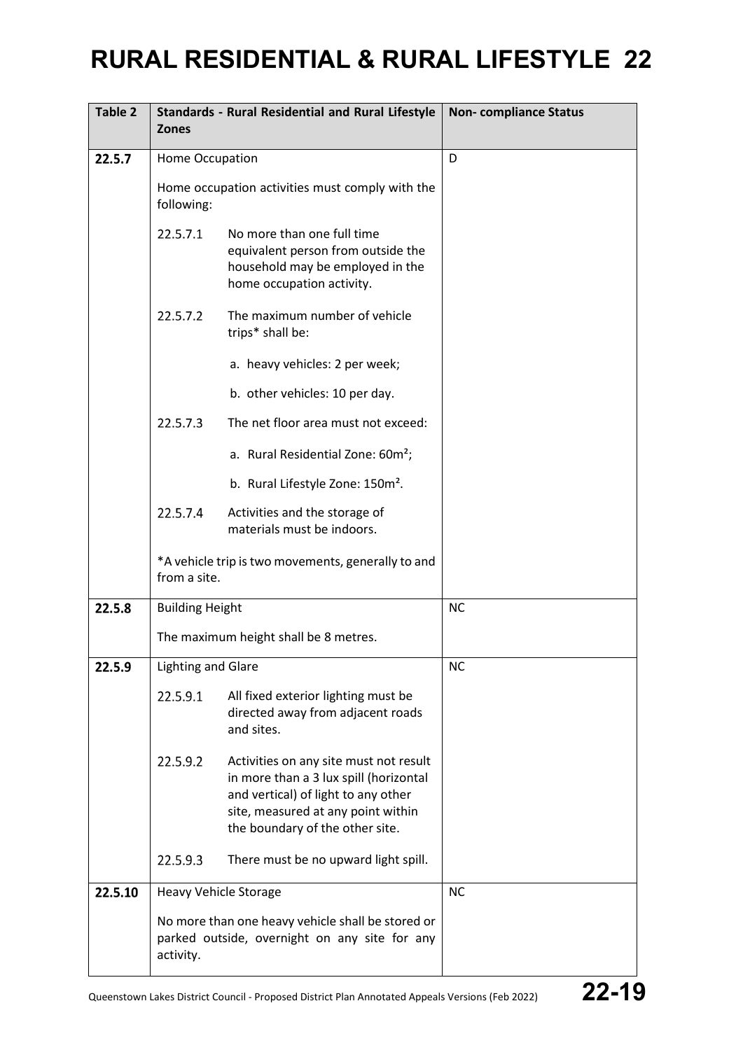| Table 2 | <b>Zones</b>                                                                                                    | <b>Standards - Rural Residential and Rural Lifestyle</b>                                                                                                                                         | <b>Non-compliance Status</b> |
|---------|-----------------------------------------------------------------------------------------------------------------|--------------------------------------------------------------------------------------------------------------------------------------------------------------------------------------------------|------------------------------|
| 22.5.7  | Home Occupation                                                                                                 |                                                                                                                                                                                                  | D                            |
|         | following:                                                                                                      | Home occupation activities must comply with the                                                                                                                                                  |                              |
|         | 22.5.7.1                                                                                                        | No more than one full time<br>equivalent person from outside the<br>household may be employed in the<br>home occupation activity.                                                                |                              |
|         | 22.5.7.2                                                                                                        | The maximum number of vehicle<br>trips* shall be:                                                                                                                                                |                              |
|         |                                                                                                                 | a. heavy vehicles: 2 per week;                                                                                                                                                                   |                              |
|         |                                                                                                                 | b. other vehicles: 10 per day.                                                                                                                                                                   |                              |
|         | 22.5.7.3                                                                                                        | The net floor area must not exceed:                                                                                                                                                              |                              |
|         |                                                                                                                 | a. Rural Residential Zone: 60m <sup>2</sup> ;                                                                                                                                                    |                              |
|         |                                                                                                                 | b. Rural Lifestyle Zone: 150m <sup>2</sup> .                                                                                                                                                     |                              |
|         | 22.5.7.4                                                                                                        | Activities and the storage of<br>materials must be indoors.                                                                                                                                      |                              |
|         | from a site.                                                                                                    | *A vehicle trip is two movements, generally to and                                                                                                                                               |                              |
| 22.5.8  | <b>Building Height</b>                                                                                          |                                                                                                                                                                                                  | <b>NC</b>                    |
|         |                                                                                                                 | The maximum height shall be 8 metres.                                                                                                                                                            |                              |
| 22.5.9  | <b>Lighting and Glare</b>                                                                                       |                                                                                                                                                                                                  | <b>NC</b>                    |
|         | 22.5.9.1                                                                                                        | All fixed exterior lighting must be<br>directed away from adjacent roads<br>and sites.                                                                                                           |                              |
|         | 22.5.9.2                                                                                                        | Activities on any site must not result<br>in more than a 3 lux spill (horizontal<br>and vertical) of light to any other<br>site, measured at any point within<br>the boundary of the other site. |                              |
|         | 22.5.9.3                                                                                                        | There must be no upward light spill.                                                                                                                                                             |                              |
| 22.5.10 | <b>Heavy Vehicle Storage</b>                                                                                    |                                                                                                                                                                                                  | <b>NC</b>                    |
|         | No more than one heavy vehicle shall be stored or<br>parked outside, overnight on any site for any<br>activity. |                                                                                                                                                                                                  |                              |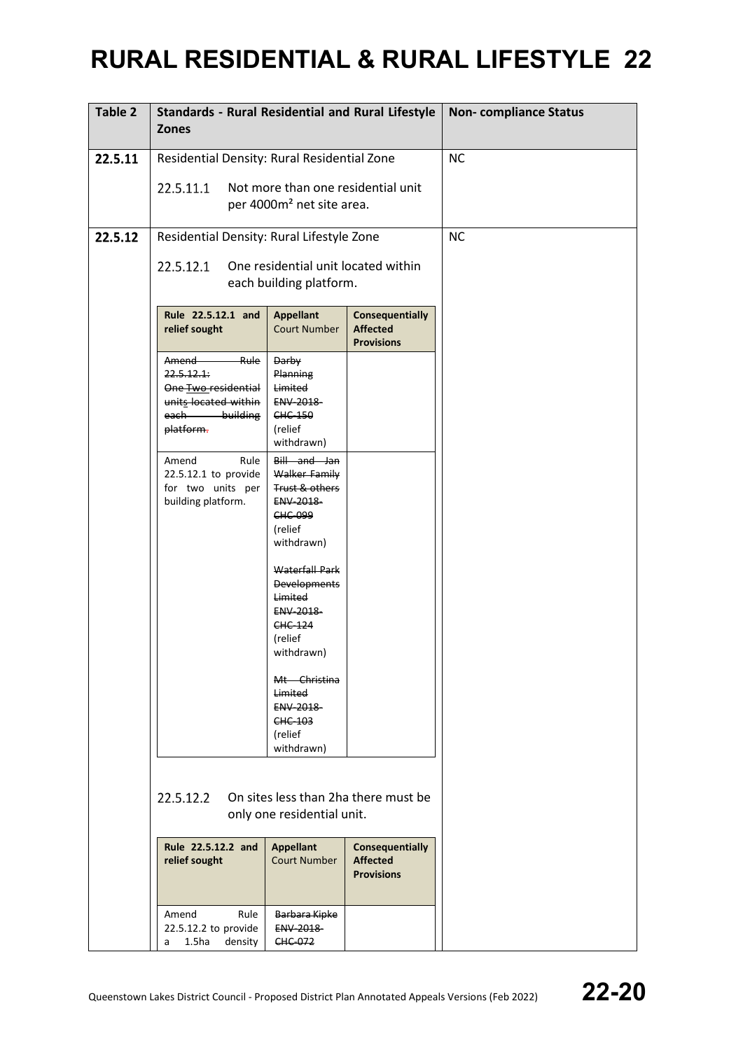| Table 2 | <b>Standards - Rural Residential and Rural Lifestyle</b><br><b>Zones</b>                                                                                                                                                                                                                                                         |                                                                                                                                                                                                                                                                                                              | <b>Non-compliance Status</b> |           |
|---------|----------------------------------------------------------------------------------------------------------------------------------------------------------------------------------------------------------------------------------------------------------------------------------------------------------------------------------|--------------------------------------------------------------------------------------------------------------------------------------------------------------------------------------------------------------------------------------------------------------------------------------------------------------|------------------------------|-----------|
| 22.5.11 | Residential Density: Rural Residential Zone                                                                                                                                                                                                                                                                                      |                                                                                                                                                                                                                                                                                                              |                              | <b>NC</b> |
|         | 22.5.11.1                                                                                                                                                                                                                                                                                                                        | Not more than one residential unit                                                                                                                                                                                                                                                                           |                              |           |
|         |                                                                                                                                                                                                                                                                                                                                  | per 4000m <sup>2</sup> net site area.                                                                                                                                                                                                                                                                        |                              |           |
| 22.5.12 | Residential Density: Rural Lifestyle Zone                                                                                                                                                                                                                                                                                        |                                                                                                                                                                                                                                                                                                              |                              | <b>NC</b> |
|         |                                                                                                                                                                                                                                                                                                                                  |                                                                                                                                                                                                                                                                                                              |                              |           |
|         | 22.5.12.1<br>One residential unit located within<br>each building platform.<br>Rule 22.5.12.1 and<br><b>Appellant</b><br><b>Consequentially</b><br><b>Affected</b><br>relief sought<br><b>Court Number</b><br><b>Provisions</b>                                                                                                  |                                                                                                                                                                                                                                                                                                              |                              |           |
|         |                                                                                                                                                                                                                                                                                                                                  |                                                                                                                                                                                                                                                                                                              |                              |           |
|         | Amend Rule<br>Darby<br>22.5.12.1:<br>Planning<br>Limited<br>One Two residential<br>units located within<br>ENV-2018-<br>each-<br>building<br>CHC-150<br>platform.<br>(relief                                                                                                                                                     |                                                                                                                                                                                                                                                                                                              |                              |           |
|         | Amend<br>Rule<br>22.5.12.1 to provide<br>for two units per<br>building platform.                                                                                                                                                                                                                                                 | withdrawn)<br>Bill and Jan<br>Walker Family<br>Trust & others<br>ENV-2018-<br>CHC-099<br>(relief<br>withdrawn)<br>Waterfall Park<br><b>Developments</b><br>Limited<br><b>ENV 2018</b><br><b>CHC 124</b><br>(relief<br>withdrawn)<br>Mt Christina<br>Limited<br>ENV-2018-<br>CHC-103<br>(relief<br>withdrawn) |                              |           |
|         | 22.5.12.2<br>On sites less than 2ha there must be<br>only one residential unit.<br>Rule 22.5.12.2 and<br><b>Appellant</b><br><b>Affected</b><br>relief sought<br><b>Court Number</b><br><b>Provisions</b><br>Rule<br>Amend<br>Barbara Kipke<br>ENV-2018-<br>22.5.12.2 to provide<br>1.5 <sub>ha</sub><br>CHC 072<br>density<br>a |                                                                                                                                                                                                                                                                                                              | <b>Consequentially</b>       |           |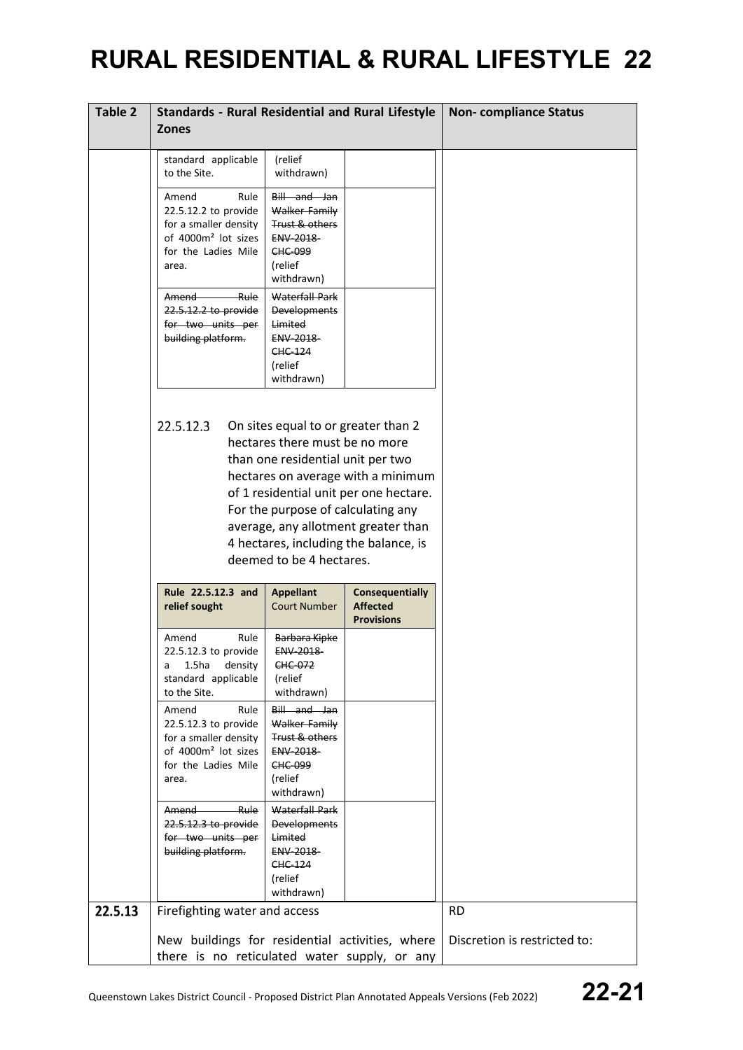| Table 2 | <b>Standards - Rural Residential and Rural Lifestyle</b>                                                                                                                                                                                                                                                                                                  |                                                                                                         |  | <b>Non-compliance Status</b> |
|---------|-----------------------------------------------------------------------------------------------------------------------------------------------------------------------------------------------------------------------------------------------------------------------------------------------------------------------------------------------------------|---------------------------------------------------------------------------------------------------------|--|------------------------------|
|         | <b>Zones</b>                                                                                                                                                                                                                                                                                                                                              |                                                                                                         |  |                              |
|         | standard applicable<br>to the Site.<br>Amend<br>Rule                                                                                                                                                                                                                                                                                                      | (relief<br>withdrawn)<br>Bill and Jan                                                                   |  |                              |
|         | 22.5.12.2 to provide<br>for a smaller density<br>of 4000m <sup>2</sup> lot sizes<br>for the Ladies Mile<br>area.                                                                                                                                                                                                                                          | Walker Family<br>Trust & others<br>ENV-2018-<br>CHC-099<br>(relief<br>withdrawn)                        |  |                              |
|         | <b>Rule</b><br>Amend<br>22.5.12.2 to provide<br>for two units per<br>building platform.                                                                                                                                                                                                                                                                   | Waterfall Park<br><b>Developments</b><br>Limited<br><b>ENV 2018</b><br>CHC-124<br>(relief<br>withdrawn) |  |                              |
|         | 22.5.12.3<br>On sites equal to or greater than 2<br>hectares there must be no more<br>than one residential unit per two<br>hectares on average with a minimum<br>of 1 residential unit per one hectare.<br>For the purpose of calculating any<br>average, any allotment greater than<br>4 hectares, including the balance, is<br>deemed to be 4 hectares. |                                                                                                         |  |                              |
|         | Rule 22.5.12.3 and<br><b>Consequentially</b><br><b>Appellant</b><br><b>Affected</b><br><b>Court Number</b><br>relief sought<br><b>Provisions</b>                                                                                                                                                                                                          |                                                                                                         |  |                              |
|         | Rule<br>Amend<br>22.5.12.3 to provide<br>a<br>1.5ha<br>density<br>standard applicable<br>to the Site.                                                                                                                                                                                                                                                     | Barbara Kipke<br>ENV-2018-<br>CHC-072<br>(relief<br>withdrawn)                                          |  |                              |
|         | Amend<br>Rule<br>22.5.12.3 to provide<br>for a smaller density<br>of 4000m <sup>2</sup> lot sizes<br>for the Ladies Mile<br>area.                                                                                                                                                                                                                         | Bill and Jan<br>Walker Family<br>Trust & others<br>ENV-2018-<br>CHC-099<br>(relief<br>withdrawn)        |  |                              |
|         | Amend Rule<br>22.5.12.3 to provide<br>for two units per<br>building platform.                                                                                                                                                                                                                                                                             | Waterfall Park<br><b>Developments</b><br>Limited<br>ENV-2018-<br>CHC-124<br>(relief<br>withdrawn)       |  |                              |
| 22.5.13 | Firefighting water and access                                                                                                                                                                                                                                                                                                                             |                                                                                                         |  | <b>RD</b>                    |
|         | New buildings for residential activities, where<br>there is no reticulated water supply, or any                                                                                                                                                                                                                                                           |                                                                                                         |  | Discretion is restricted to: |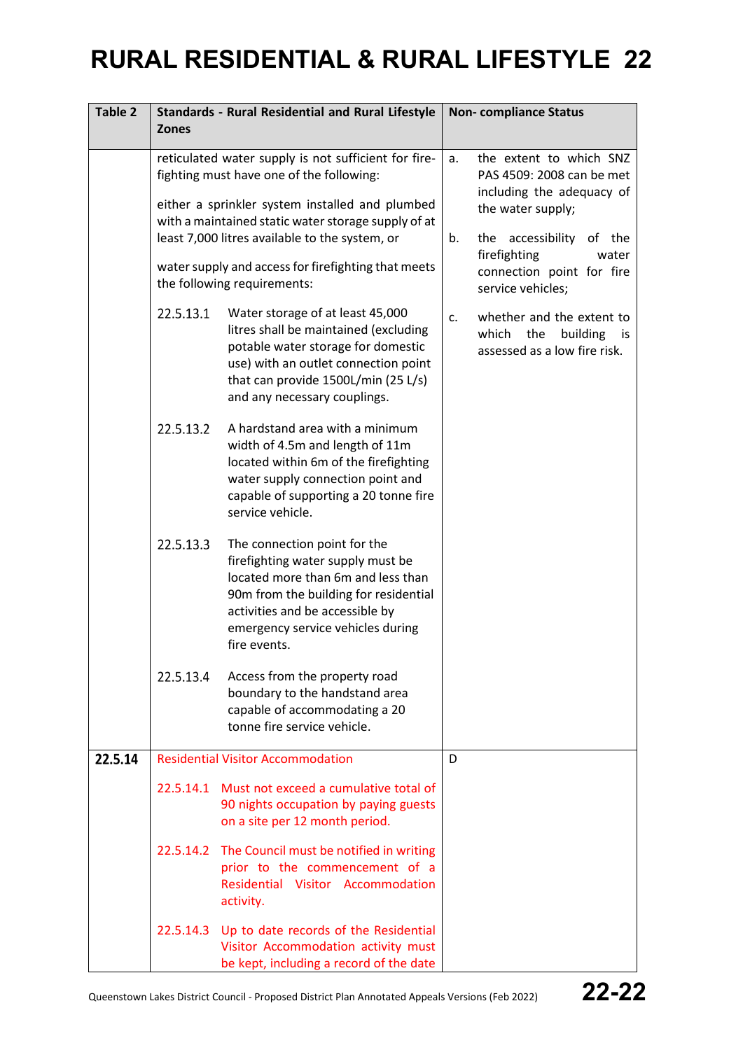| <b>Table 2</b> | <b>Standards - Rural Residential and Rural Lifestyle</b><br><b>Zones</b> |                                                                                                                                                                                                                                          |                | <b>Non-compliance Status</b>                                                                  |
|----------------|--------------------------------------------------------------------------|------------------------------------------------------------------------------------------------------------------------------------------------------------------------------------------------------------------------------------------|----------------|-----------------------------------------------------------------------------------------------|
|                |                                                                          | reticulated water supply is not sufficient for fire-<br>fighting must have one of the following:                                                                                                                                         | a.             | the extent to which SNZ<br>PAS 4509: 2008 can be met<br>including the adequacy of             |
|                |                                                                          | either a sprinkler system installed and plumbed<br>with a maintained static water storage supply of at<br>least 7,000 litres available to the system, or                                                                                 | b.             | the water supply;<br>accessibility<br>of the<br>the                                           |
|                |                                                                          | water supply and access for firefighting that meets<br>the following requirements:                                                                                                                                                       |                | firefighting<br>water<br>connection point for fire<br>service vehicles;                       |
|                | 22.5.13.1                                                                | Water storage of at least 45,000<br>litres shall be maintained (excluding<br>potable water storage for domestic<br>use) with an outlet connection point<br>that can provide 1500L/min (25 L/s)<br>and any necessary couplings.           | C <sub>1</sub> | whether and the extent to<br>which<br>the<br>building<br>- IS<br>assessed as a low fire risk. |
|                | 22.5.13.2                                                                | A hardstand area with a minimum<br>width of 4.5m and length of 11m<br>located within 6m of the firefighting<br>water supply connection point and<br>capable of supporting a 20 tonne fire<br>service vehicle.                            |                |                                                                                               |
|                | 22.5.13.3                                                                | The connection point for the<br>firefighting water supply must be<br>located more than 6m and less than<br>90m from the building for residential<br>activities and be accessible by<br>emergency service vehicles during<br>fire events. |                |                                                                                               |
|                | 22.5.13.4                                                                | Access from the property road<br>boundary to the handstand area<br>capable of accommodating a 20<br>tonne fire service vehicle.                                                                                                          |                |                                                                                               |
| 22.5.14        |                                                                          | <b>Residential Visitor Accommodation</b>                                                                                                                                                                                                 | D              |                                                                                               |
|                |                                                                          | 22.5.14.1 Must not exceed a cumulative total of<br>90 nights occupation by paying guests<br>on a site per 12 month period.                                                                                                               |                |                                                                                               |
|                | 22.5.14.2                                                                | The Council must be notified in writing<br>prior to the commencement of a<br>Residential Visitor Accommodation<br>activity.                                                                                                              |                |                                                                                               |
|                |                                                                          | 22.5.14.3 Up to date records of the Residential<br>Visitor Accommodation activity must<br>be kept, including a record of the date                                                                                                        |                |                                                                                               |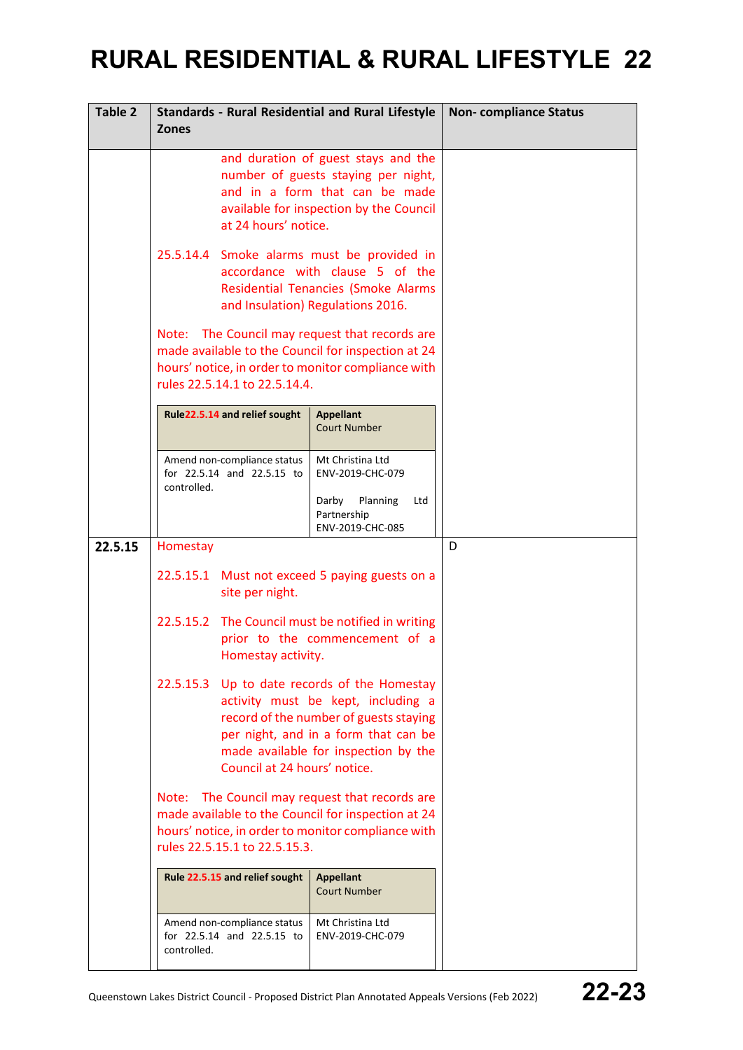| Table 2 | <b>Standards - Rural Residential and Rural Lifestyle</b><br><b>Zones</b>                                                                                                                                                                     | <b>Non-compliance Status</b>                                                                        |   |
|---------|----------------------------------------------------------------------------------------------------------------------------------------------------------------------------------------------------------------------------------------------|-----------------------------------------------------------------------------------------------------|---|
|         | and duration of guest stays and the<br>number of guests staying per night,<br>and in a form that can be made<br>available for inspection by the Council<br>at 24 hours' notice.                                                              |                                                                                                     |   |
|         | 25.5.14.4 Smoke alarms must be provided in<br>accordance with clause 5 of the<br><b>Residential Tenancies (Smoke Alarms</b><br>and Insulation) Regulations 2016.                                                                             |                                                                                                     |   |
|         | Note: The Council may request that records are<br>made available to the Council for inspection at 24<br>hours' notice, in order to monitor compliance with<br>rules 22.5.14.1 to 22.5.14.4.                                                  |                                                                                                     |   |
|         | Rule22.5.14 and relief sought                                                                                                                                                                                                                | <b>Appellant</b><br><b>Court Number</b>                                                             |   |
|         | Amend non-compliance status<br>for 22.5.14 and 22.5.15 to<br>controlled.                                                                                                                                                                     | Mt Christina Ltd<br>ENV-2019-CHC-079<br>Darby<br>Planning<br>Ltd<br>Partnership<br>ENV-2019-CHC-085 |   |
| 22.5.15 | Homestay                                                                                                                                                                                                                                     |                                                                                                     | D |
|         | 22.5.15.1 Must not exceed 5 paying guests on a<br>site per night.                                                                                                                                                                            |                                                                                                     |   |
|         | 22.5.15.2 The Council must be notified in writing<br>prior to the commencement of a<br>Homestay activity.                                                                                                                                    |                                                                                                     |   |
|         | 22.5.15.3 Up to date records of the Homestay<br>activity must be kept, including a<br>record of the number of guests staying<br>per night, and in a form that can be<br>made available for inspection by the<br>Council at 24 hours' notice. |                                                                                                     |   |
|         | Note: The Council may request that records are<br>made available to the Council for inspection at 24<br>hours' notice, in order to monitor compliance with<br>rules 22.5.15.1 to 22.5.15.3.                                                  |                                                                                                     |   |
|         | Rule 22.5.15 and relief sought                                                                                                                                                                                                               | <b>Appellant</b><br><b>Court Number</b>                                                             |   |
|         | Amend non-compliance status<br>for 22.5.14 and 22.5.15 to<br>controlled.                                                                                                                                                                     | Mt Christina Ltd<br>ENV-2019-CHC-079                                                                |   |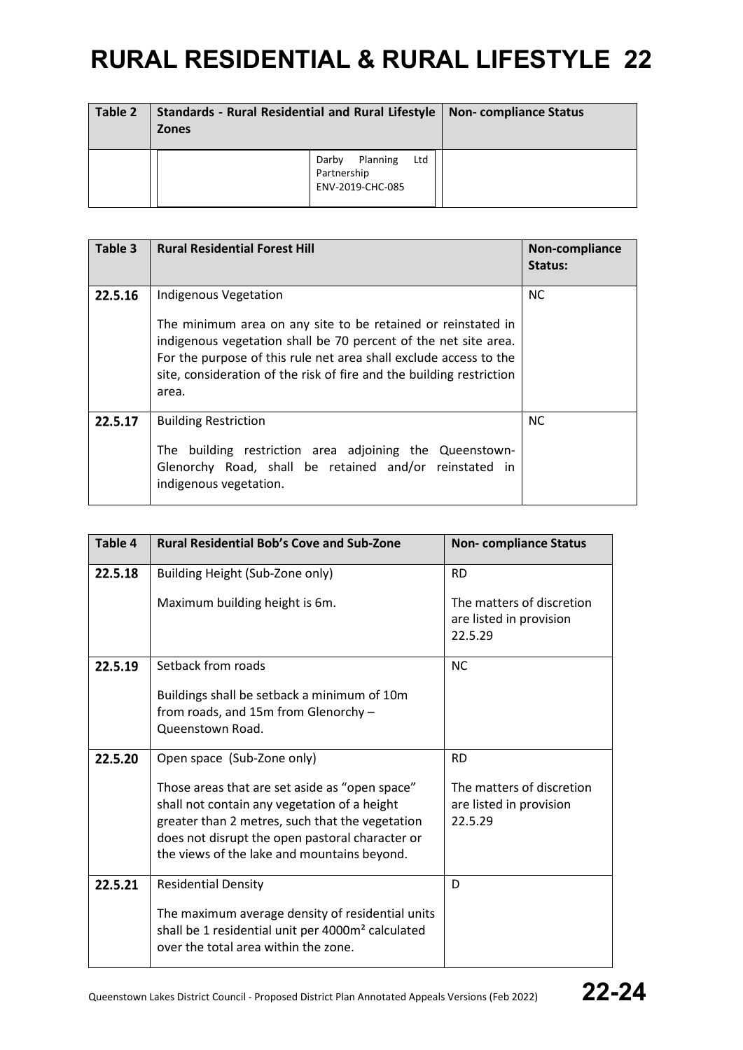| Table 2 | <b>Standards - Rural Residential and Rural Lifestyle</b><br><b>Zones</b> | Non-compliance Status                                       |  |
|---------|--------------------------------------------------------------------------|-------------------------------------------------------------|--|
|         |                                                                          | Ltd<br>Planning<br>Darby<br>Partnership<br>ENV-2019-CHC-085 |  |

| Table 3 | <b>Rural Residential Forest Hill</b>                                                                                                                                                                                                                                                                           | Non-compliance<br>Status: |
|---------|----------------------------------------------------------------------------------------------------------------------------------------------------------------------------------------------------------------------------------------------------------------------------------------------------------------|---------------------------|
| 22.5.16 | Indigenous Vegetation<br>The minimum area on any site to be retained or reinstated in<br>indigenous vegetation shall be 70 percent of the net site area.<br>For the purpose of this rule net area shall exclude access to the<br>site, consideration of the risk of fire and the building restriction<br>area. | <b>NC</b>                 |
| 22.5.17 | <b>Building Restriction</b><br>The building restriction area adjoining the Queenstown-<br>Glenorchy Road, shall be retained and/or reinstated in<br>indigenous vegetation.                                                                                                                                     | <b>NC</b>                 |

| Table 4 | <b>Rural Residential Bob's Cove and Sub-Zone</b>                                                                                                                                                                                                    | <b>Non-compliance Status</b>                                    |
|---------|-----------------------------------------------------------------------------------------------------------------------------------------------------------------------------------------------------------------------------------------------------|-----------------------------------------------------------------|
| 22.5.18 | Building Height (Sub-Zone only)                                                                                                                                                                                                                     | <b>RD</b>                                                       |
|         | Maximum building height is 6m.                                                                                                                                                                                                                      | The matters of discretion<br>are listed in provision<br>22.5.29 |
| 22.5.19 | Setback from roads                                                                                                                                                                                                                                  | <b>NC</b>                                                       |
|         | Buildings shall be setback a minimum of 10m<br>from roads, and 15m from Glenorchy -<br>Queenstown Road.                                                                                                                                             |                                                                 |
| 22.5.20 | Open space (Sub-Zone only)                                                                                                                                                                                                                          | <b>RD</b>                                                       |
|         | Those areas that are set aside as "open space"<br>shall not contain any vegetation of a height<br>greater than 2 metres, such that the vegetation<br>does not disrupt the open pastoral character or<br>the views of the lake and mountains beyond. | The matters of discretion<br>are listed in provision<br>22.5.29 |
| 22.5.21 | <b>Residential Density</b>                                                                                                                                                                                                                          | D                                                               |
|         | The maximum average density of residential units<br>shall be 1 residential unit per 4000m <sup>2</sup> calculated<br>over the total area within the zone.                                                                                           |                                                                 |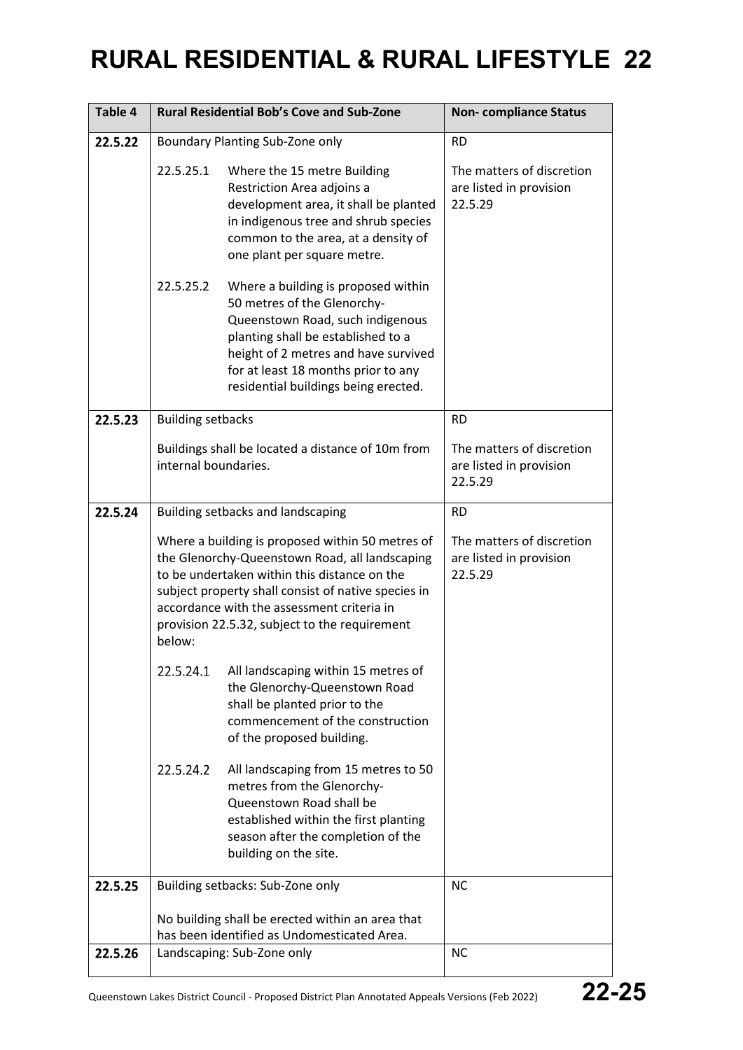| Table 4 |                                                                                                                                                                                                                                                                                                                    | <b>Rural Residential Bob's Cove and Sub-Zone</b>                                                                                                                                                                                                                    | <b>Non-compliance Status</b>                                    |
|---------|--------------------------------------------------------------------------------------------------------------------------------------------------------------------------------------------------------------------------------------------------------------------------------------------------------------------|---------------------------------------------------------------------------------------------------------------------------------------------------------------------------------------------------------------------------------------------------------------------|-----------------------------------------------------------------|
| 22.5.22 |                                                                                                                                                                                                                                                                                                                    | Boundary Planting Sub-Zone only                                                                                                                                                                                                                                     | <b>RD</b>                                                       |
|         | 22.5.25.1                                                                                                                                                                                                                                                                                                          | Where the 15 metre Building<br>Restriction Area adjoins a<br>development area, it shall be planted<br>in indigenous tree and shrub species<br>common to the area, at a density of<br>one plant per square metre.                                                    | The matters of discretion<br>are listed in provision<br>22.5.29 |
|         | 22.5.25.2                                                                                                                                                                                                                                                                                                          | Where a building is proposed within<br>50 metres of the Glenorchy-<br>Queenstown Road, such indigenous<br>planting shall be established to a<br>height of 2 metres and have survived<br>for at least 18 months prior to any<br>residential buildings being erected. |                                                                 |
| 22.5.23 | <b>Building setbacks</b>                                                                                                                                                                                                                                                                                           |                                                                                                                                                                                                                                                                     | <b>RD</b>                                                       |
|         | internal boundaries.                                                                                                                                                                                                                                                                                               | Buildings shall be located a distance of 10m from                                                                                                                                                                                                                   | The matters of discretion<br>are listed in provision<br>22.5.29 |
| 22.5.24 |                                                                                                                                                                                                                                                                                                                    | Building setbacks and landscaping                                                                                                                                                                                                                                   | <b>RD</b>                                                       |
|         | Where a building is proposed within 50 metres of<br>the Glenorchy-Queenstown Road, all landscaping<br>to be undertaken within this distance on the<br>subject property shall consist of native species in<br>accordance with the assessment criteria in<br>provision 22.5.32, subject to the requirement<br>below: |                                                                                                                                                                                                                                                                     | The matters of discretion<br>are listed in provision<br>22.5.29 |
|         | 22.5.24.1                                                                                                                                                                                                                                                                                                          | All landscaping within 15 metres of<br>the Glenorchy-Queenstown Road<br>shall be planted prior to the<br>commencement of the construction<br>of the proposed building.                                                                                              |                                                                 |
|         | 22.5.24.2                                                                                                                                                                                                                                                                                                          | All landscaping from 15 metres to 50<br>metres from the Glenorchy-<br>Queenstown Road shall be<br>established within the first planting<br>season after the completion of the<br>building on the site.                                                              |                                                                 |
| 22.5.25 |                                                                                                                                                                                                                                                                                                                    | Building setbacks: Sub-Zone only                                                                                                                                                                                                                                    | <b>NC</b>                                                       |
|         |                                                                                                                                                                                                                                                                                                                    | No building shall be erected within an area that<br>has been identified as Undomesticated Area.                                                                                                                                                                     |                                                                 |
| 22.5.26 |                                                                                                                                                                                                                                                                                                                    | Landscaping: Sub-Zone only                                                                                                                                                                                                                                          | <b>NC</b>                                                       |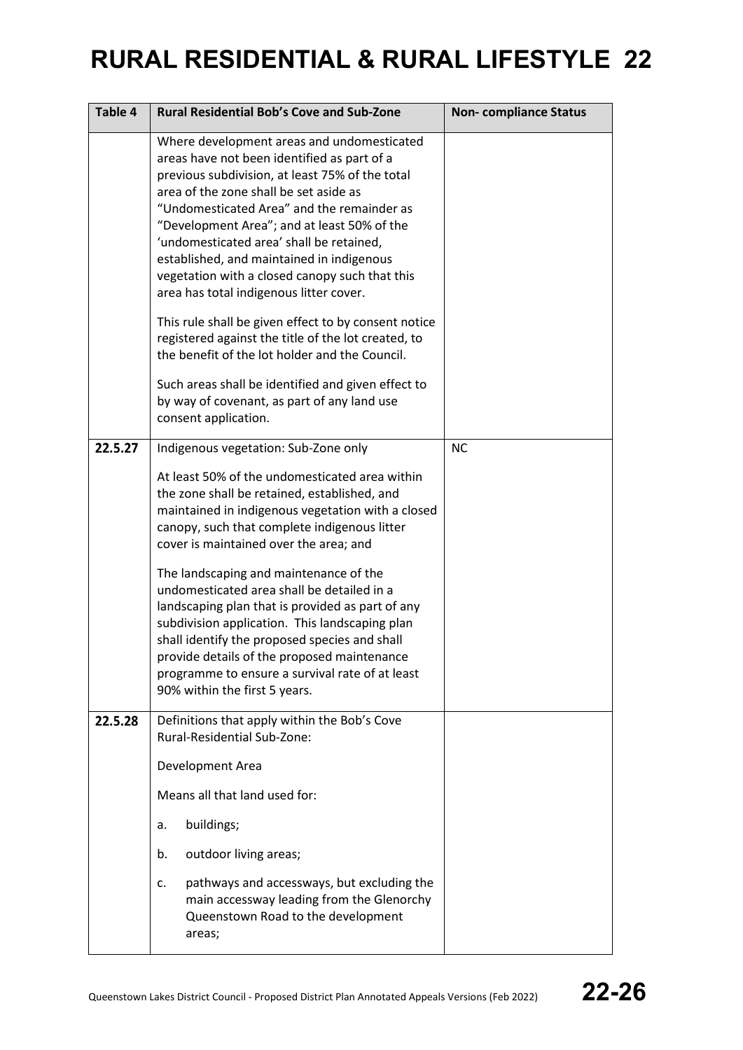| Table 4 | <b>Rural Residential Bob's Cove and Sub-Zone</b>                                                                                                                                                                                                                                                                                                                                                                                                                                                                                                                                                                                                                        | <b>Non-compliance Status</b> |
|---------|-------------------------------------------------------------------------------------------------------------------------------------------------------------------------------------------------------------------------------------------------------------------------------------------------------------------------------------------------------------------------------------------------------------------------------------------------------------------------------------------------------------------------------------------------------------------------------------------------------------------------------------------------------------------------|------------------------------|
|         | Where development areas and undomesticated<br>areas have not been identified as part of a<br>previous subdivision, at least 75% of the total<br>area of the zone shall be set aside as<br>"Undomesticated Area" and the remainder as<br>"Development Area"; and at least 50% of the<br>'undomesticated area' shall be retained,<br>established, and maintained in indigenous<br>vegetation with a closed canopy such that this<br>area has total indigenous litter cover.<br>This rule shall be given effect to by consent notice<br>registered against the title of the lot created, to                                                                                |                              |
|         | the benefit of the lot holder and the Council.<br>Such areas shall be identified and given effect to<br>by way of covenant, as part of any land use<br>consent application.                                                                                                                                                                                                                                                                                                                                                                                                                                                                                             |                              |
| 22.5.27 | Indigenous vegetation: Sub-Zone only<br>At least 50% of the undomesticated area within<br>the zone shall be retained, established, and<br>maintained in indigenous vegetation with a closed<br>canopy, such that complete indigenous litter<br>cover is maintained over the area; and<br>The landscaping and maintenance of the<br>undomesticated area shall be detailed in a<br>landscaping plan that is provided as part of any<br>subdivision application. This landscaping plan<br>shall identify the proposed species and shall<br>provide details of the proposed maintenance<br>programme to ensure a survival rate of at least<br>90% within the first 5 years. | <b>NC</b>                    |
| 22.5.28 | Definitions that apply within the Bob's Cove<br>Rural-Residential Sub-Zone:<br>Development Area<br>Means all that land used for:<br>buildings;<br>a.<br>outdoor living areas;<br>b.<br>pathways and accessways, but excluding the<br>c.<br>main accessway leading from the Glenorchy<br>Queenstown Road to the development<br>areas;                                                                                                                                                                                                                                                                                                                                    |                              |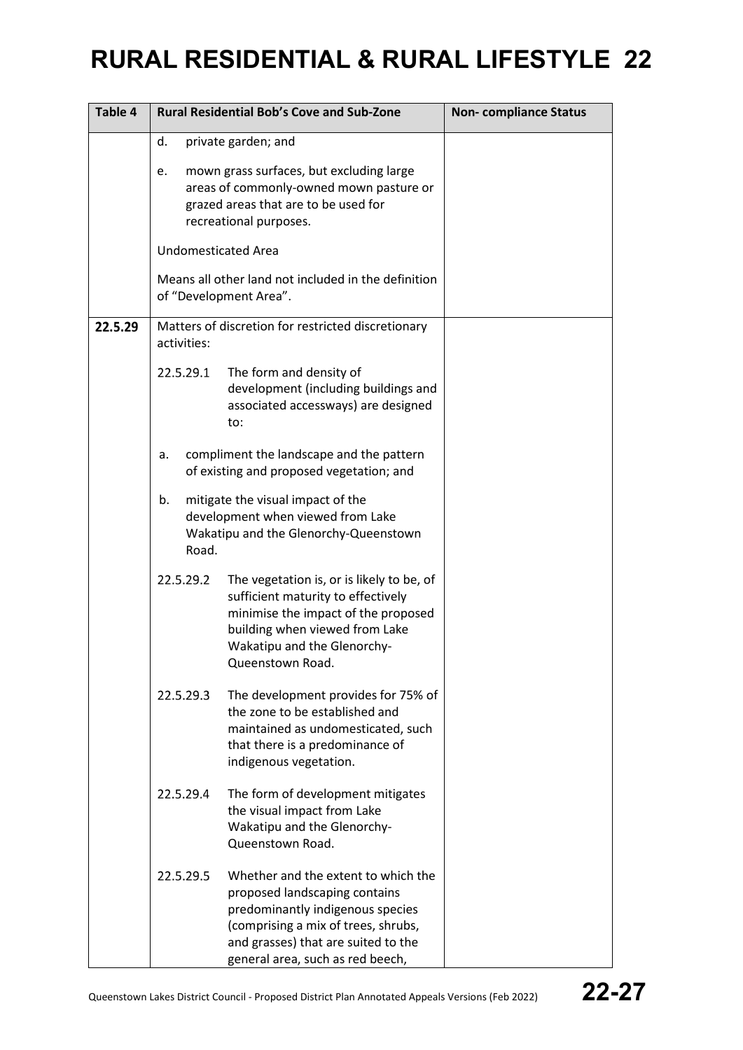| Table 4 |                            | <b>Rural Residential Bob's Cove and Sub-Zone</b>                                                                                                                                                                           | <b>Non-compliance Status</b> |
|---------|----------------------------|----------------------------------------------------------------------------------------------------------------------------------------------------------------------------------------------------------------------------|------------------------------|
|         | d.                         | private garden; and                                                                                                                                                                                                        |                              |
|         | e.                         | mown grass surfaces, but excluding large<br>areas of commonly-owned mown pasture or<br>grazed areas that are to be used for<br>recreational purposes.                                                                      |                              |
|         | <b>Undomesticated Area</b> |                                                                                                                                                                                                                            |                              |
|         |                            | Means all other land not included in the definition<br>of "Development Area".                                                                                                                                              |                              |
| 22.5.29 | activities:                | Matters of discretion for restricted discretionary                                                                                                                                                                         |                              |
|         | 22.5.29.1                  | The form and density of<br>development (including buildings and<br>associated accessways) are designed<br>to:                                                                                                              |                              |
|         | a.                         | compliment the landscape and the pattern<br>of existing and proposed vegetation; and                                                                                                                                       |                              |
|         | b.<br>Road.                | mitigate the visual impact of the<br>development when viewed from Lake<br>Wakatipu and the Glenorchy-Queenstown                                                                                                            |                              |
|         | 22.5.29.2                  | The vegetation is, or is likely to be, of<br>sufficient maturity to effectively<br>minimise the impact of the proposed<br>building when viewed from Lake<br>Wakatipu and the Glenorchy-<br>Queenstown Road.                |                              |
|         | 22.5.29.3                  | The development provides for 75% of<br>the zone to be established and<br>maintained as undomesticated, such<br>that there is a predominance of<br>indigenous vegetation.                                                   |                              |
|         | 22.5.29.4                  | The form of development mitigates<br>the visual impact from Lake<br>Wakatipu and the Glenorchy-<br>Queenstown Road.                                                                                                        |                              |
|         | 22.5.29.5                  | Whether and the extent to which the<br>proposed landscaping contains<br>predominantly indigenous species<br>(comprising a mix of trees, shrubs,<br>and grasses) that are suited to the<br>general area, such as red beech, |                              |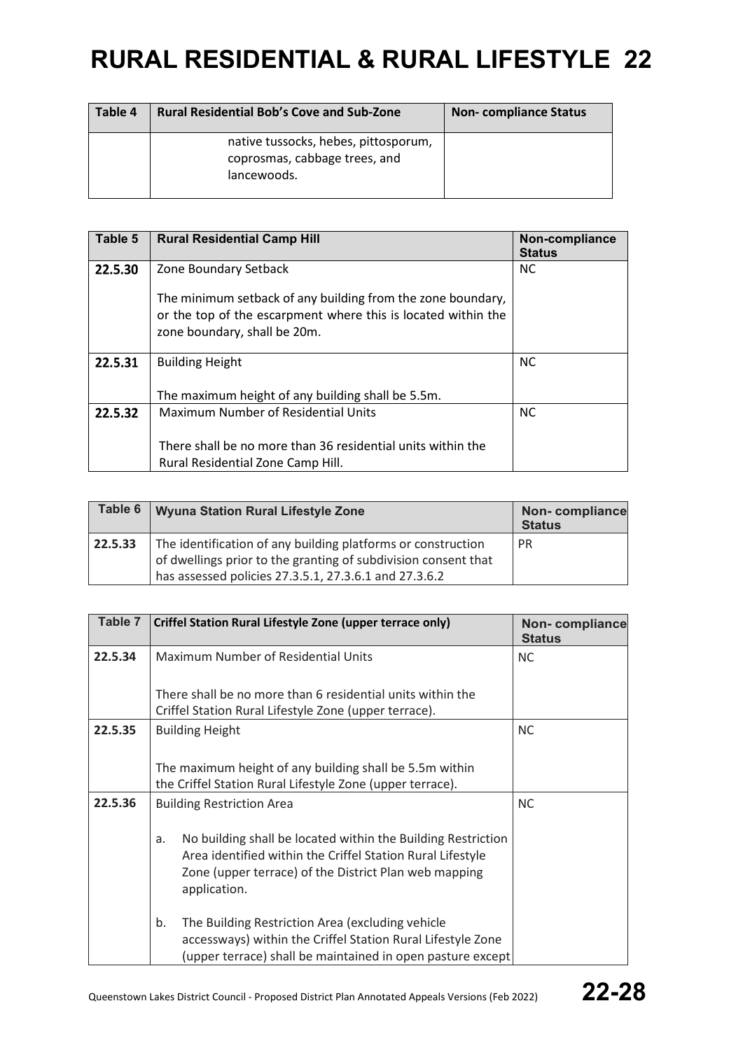| Table 4 | <b>Rural Residential Bob's Cove and Sub-Zone</b>                                     | <b>Non-compliance Status</b> |
|---------|--------------------------------------------------------------------------------------|------------------------------|
|         | native tussocks, hebes, pittosporum,<br>coprosmas, cabbage trees, and<br>lancewoods. |                              |

| Table 5 | <b>Rural Residential Camp Hill</b>                                                                                                                           | Non-compliance<br><b>Status</b> |
|---------|--------------------------------------------------------------------------------------------------------------------------------------------------------------|---------------------------------|
| 22.5.30 | Zone Boundary Setback                                                                                                                                        | NC.                             |
|         | The minimum setback of any building from the zone boundary,<br>or the top of the escarpment where this is located within the<br>zone boundary, shall be 20m. |                                 |
| 22.5.31 | <b>Building Height</b>                                                                                                                                       | <b>NC</b>                       |
|         | The maximum height of any building shall be 5.5m.                                                                                                            |                                 |
| 22.5.32 | Maximum Number of Residential Units                                                                                                                          | <b>NC</b>                       |
|         | There shall be no more than 36 residential units within the<br>Rural Residential Zone Camp Hill.                                                             |                                 |

| Table 6 | Wyuna Station Rural Lifestyle Zone                                                                                                                                                      | Non-compliance<br><b>Status</b> |
|---------|-----------------------------------------------------------------------------------------------------------------------------------------------------------------------------------------|---------------------------------|
| 22.5.33 | The identification of any building platforms or construction<br>of dwellings prior to the granting of subdivision consent that<br>has assessed policies 27.3.5.1, 27.3.6.1 and 27.3.6.2 | <b>PR</b>                       |

| Table 7 | Criffel Station Rural Lifestyle Zone (upper terrace only)                                                                                                                                                 | Non-compliance<br><b>Status</b> |
|---------|-----------------------------------------------------------------------------------------------------------------------------------------------------------------------------------------------------------|---------------------------------|
| 22.5.34 | Maximum Number of Residential Units                                                                                                                                                                       | <b>NC</b>                       |
|         | There shall be no more than 6 residential units within the<br>Criffel Station Rural Lifestyle Zone (upper terrace).                                                                                       |                                 |
| 22.5.35 | <b>Building Height</b>                                                                                                                                                                                    | <b>NC</b>                       |
|         | The maximum height of any building shall be 5.5m within<br>the Criffel Station Rural Lifestyle Zone (upper terrace).                                                                                      |                                 |
| 22.5.36 | <b>Building Restriction Area</b>                                                                                                                                                                          | <b>NC</b>                       |
|         | No building shall be located within the Building Restriction<br>a.<br>Area identified within the Criffel Station Rural Lifestyle<br>Zone (upper terrace) of the District Plan web mapping<br>application. |                                 |
|         | The Building Restriction Area (excluding vehicle<br>b.<br>accessways) within the Criffel Station Rural Lifestyle Zone<br>(upper terrace) shall be maintained in open pasture except                       |                                 |